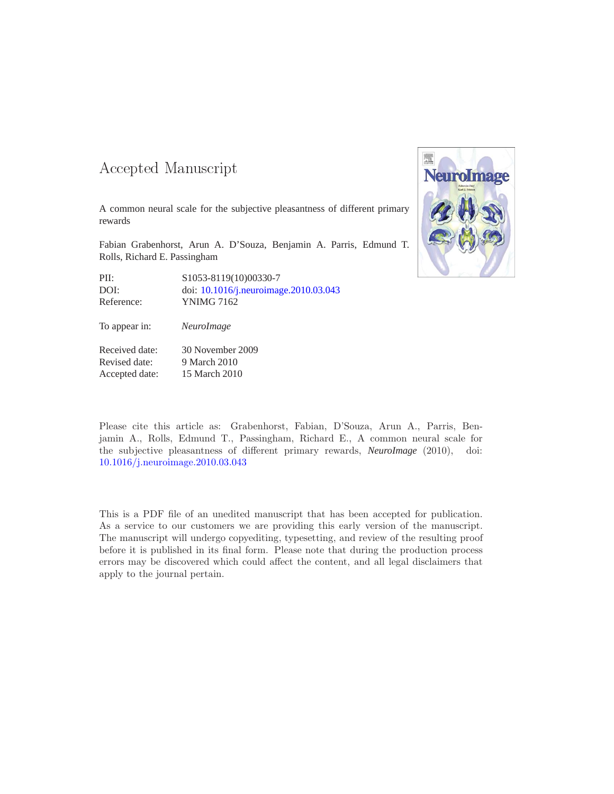#### -- -

A common neural scale for the subjective pleasantness of different primary rewards

Fabian Grabenhorst, Arun A. D'Souza, Benjamin A. Parris, Edmund T. Rolls, Richard E. Passingham

| PII:       | S1053-8119(10)00330-7                 |
|------------|---------------------------------------|
| DOI:       | doi: 10.1016/j.neuroimage.2010.03.043 |
| Reference: | YNIMG 7162                            |

To appear in: *NeuroImage*

Received date: 30 November 2009 Revised date: 9 March 2010 Accepted date: 15 March 2010



Please cite this article as: Grabenhorst, Fabian, D'Souza, Arun A., Parris, Benjamin A., Rolls, Edmund T., Passingham, Richard E., A common neural scale for the subjective pleasantness of different primary rewards, *NeuroImage* (2010), doi: [10.1016/j.neuroimage.2010.03.043](http://dx.doi.org/10.1016/j.neuroimage.2010.03.043)

This is a PDF file of an unedited manuscript that has been accepted for publication. As a service to our customers we are providing this early version of the manuscript. The manuscript will undergo copyediting, typesetting, and review of the resulting proof before it is published in its final form. Please note that during the production process errors may be discovered which could affect the content, and all legal disclaimers that apply to the journal pertain.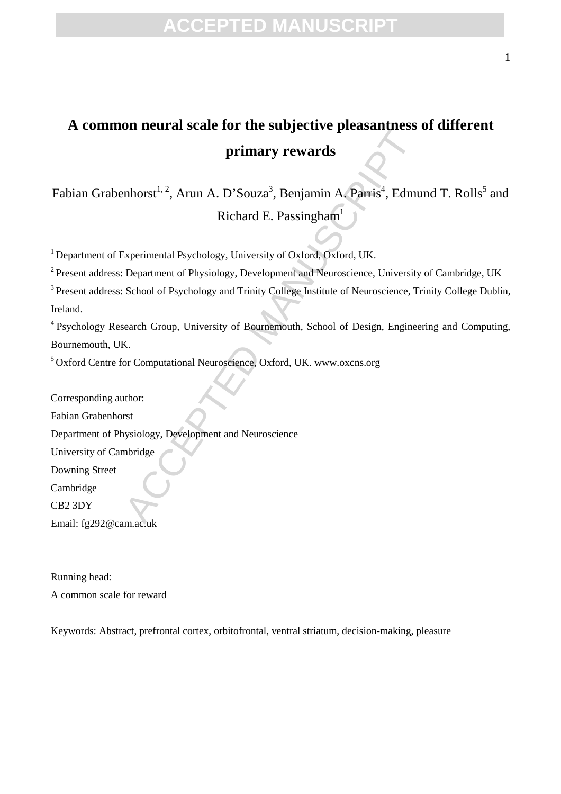### **FPTED MANU**

### **A common neural scale for the subjective pleasantness of different primary rewards**

Fabian Grabenhorst<sup>1, 2</sup>, Arun A. D'Souza<sup>3</sup>, Benjamin A. Parris<sup>4</sup>, Edmund T. Rolls<sup>5</sup> and Richard E. Passingham<sup>1</sup>

<sup>1</sup> Department of Experimental Psychology, University of Oxford, Oxford, UK.

<sup>2</sup> Present address: Department of Physiology, Development and Neuroscience, University of Cambridge, UK

<sup>3</sup> Present address: School of Psychology and Trinity College Institute of Neuroscience, Trinity College Dublin, Ireland.

<sup>4</sup>Psychology Research Group, University of Bournemouth, School of Design, Engineering and Computing, Bournemouth, UK.

<sup>5</sup>Oxford Centre for Computational Neuroscience, Oxford, UK. www.oxcns.org

From Start of the Start of Prematurities:<br>
Frimary rewards<br>
mhorst<sup>1,2</sup>, Arun A. D'Souza<sup>3</sup>, Benjamin A. Parris<sup>4</sup>, Edmu<br>
Richard E. Passingham<sup>1</sup><br>
Experimental Psychology, University of Oxford, Oxford, UK.<br>
Department of Corresponding author: Fabian Grabenhorst Department of Physiology, Development and Neuroscience University of Cambridge Downing Street Cambridge CB2 3DY

Email: fg292@cam.ac.uk

Running head: A common scale for reward

Keywords: Abstract, prefrontal cortex, orbitofrontal, ventral striatum, decision-making, pleasure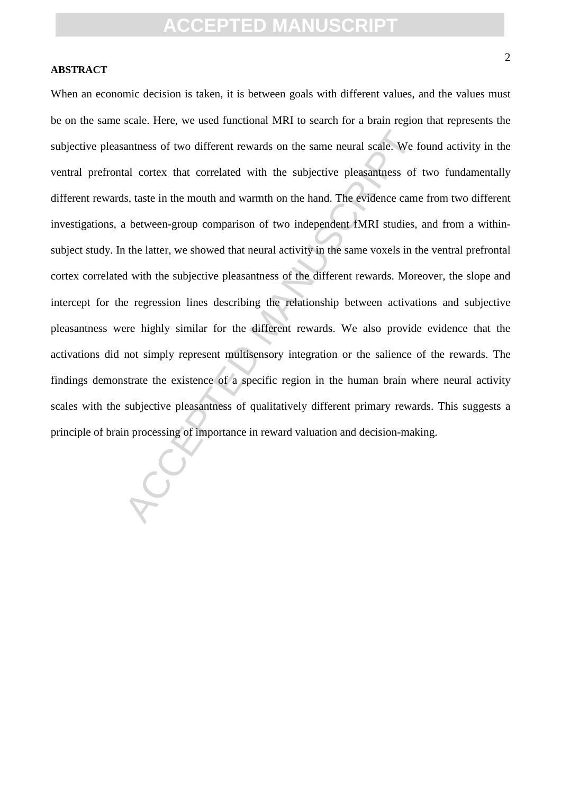#### **ABSTRACT**

antness of two different rewards on the same neural scale. We fall cortex that correlated with the subjective pleasantness of ls, taste in the mouth and warmth on the hand. The evidence came a between-group comparison of t When an economic decision is taken, it is between goals with different values, and the values must be on the same scale. Here, we used functional MRI to search for a brain region that represents the subjective pleasantness of two different rewards on the same neural scale. We found activity in the ventral prefrontal cortex that correlated with the subjective pleasantness of two fundamentally different rewards, taste in the mouth and warmth on the hand. The evidence came from two different investigations, a between-group comparison of two independent fMRI studies, and from a withinsubject study. In the latter, we showed that neural activity in the same voxels in the ventral prefrontal cortex correlated with the subjective pleasantness of the different rewards. Moreover, the slope and intercept for the regression lines describing the relationship between activations and subjective pleasantness were highly similar for the different rewards. We also provide evidence that the activations did not simply represent multisensory integration or the salience of the rewards. The findings demonstrate the existence of a specific region in the human brain where neural activity scales with the subjective pleasantness of qualitatively different primary rewards. This suggests a principle of brain processing of importance in reward valuation and decision-making.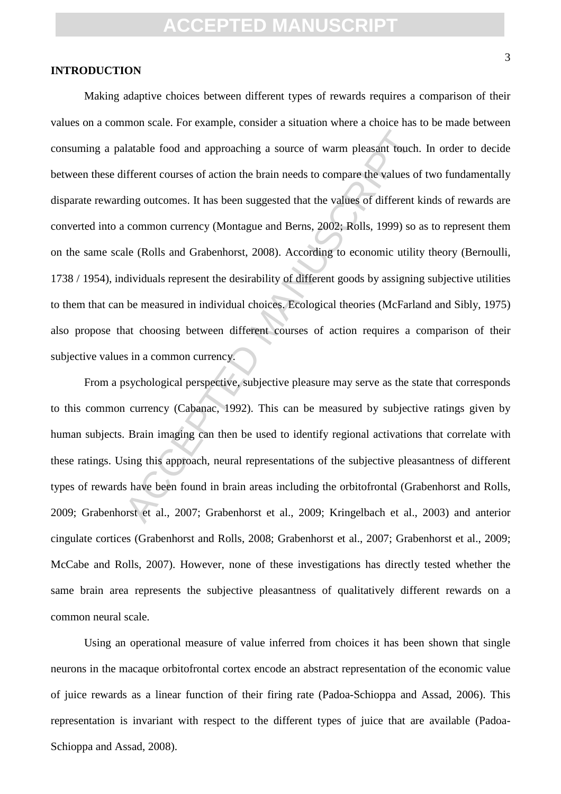#### **INTRODUCTION**

and approaching a source of warm pleasant touch.<br>ifferent courses of action the brain needs to compare the values of<br>ling outcomes. It has been suggested that the values of different k<br>common currency (Montague and Berns, Making adaptive choices between different types of rewards requires a comparison of their values on a common scale. For example, consider a situation where a choice has to be made between consuming a palatable food and approaching a source of warm pleasant touch. In order to decide between these different courses of action the brain needs to compare the values of two fundamentally disparate rewarding outcomes. It has been suggested that the values of different kinds of rewards are converted into a common currency (Montague and Berns, 2002; Rolls, 1999) so as to represent them on the same scale (Rolls and Grabenhorst, 2008). According to economic utility theory (Bernoulli, 1738 / 1954), individuals represent the desirability of different goods by assigning subjective utilities to them that can be measured in individual choices. Ecological theories (McFarland and Sibly, 1975) also propose that choosing between different courses of action requires a comparison of their subjective values in a common currency.

From a psychological perspective, subjective pleasure may serve as the state that corresponds to this common currency (Cabanac, 1992). This can be measured by subjective ratings given by human subjects. Brain imaging can then be used to identify regional activations that correlate with these ratings. Using this approach, neural representations of the subjective pleasantness of different types of rewards have been found in brain areas including the orbitofrontal (Grabenhorst and Rolls, 2009; Grabenhorst et al., 2007; Grabenhorst et al., 2009; Kringelbach et al., 2003) and anterior cingulate cortices (Grabenhorst and Rolls, 2008; Grabenhorst et al., 2007; Grabenhorst et al., 2009; McCabe and Rolls, 2007). However, none of these investigations has directly tested whether the same brain area represents the subjective pleasantness of qualitatively different rewards on a common neural scale.

Using an operational measure of value inferred from choices it has been shown that single neurons in the macaque orbitofrontal cortex encode an abstract representation of the economic value of juice rewards as a linear function of their firing rate (Padoa-Schioppa and Assad, 2006). This representation is invariant with respect to the different types of juice that are available (Padoa-Schioppa and Assad, 2008).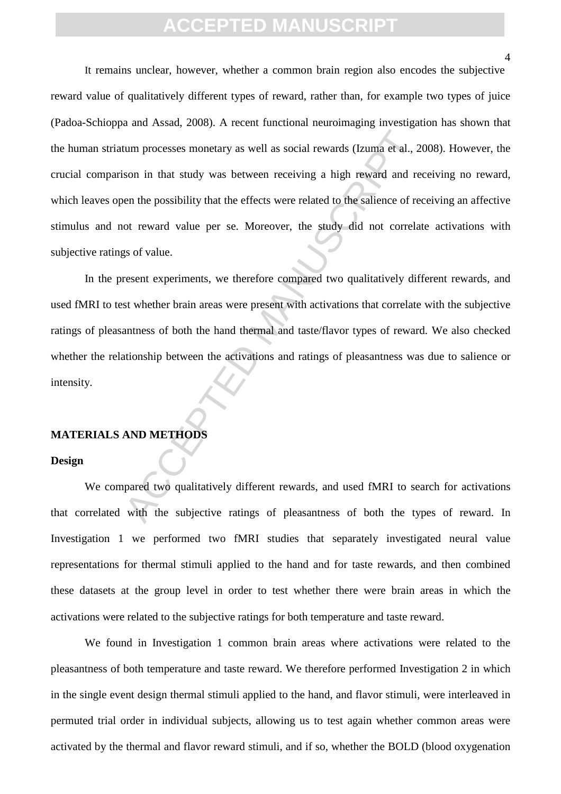tum processes monetary as well as social rewards (Izuma et al., 2<br>son in that study was between receiving a high reward and re<br>en the possibility that the effects were related to the salience of re<br>of teward value per se. It remains unclear, however, whether a common brain region also encodes the subjective reward value of qualitatively different types of reward, rather than, for example two types of juice (Padoa-Schioppa and Assad, 2008). A recent functional neuroimaging investigation has shown that the human striatum processes monetary as well as social rewards (Izuma et al., 2008). However, the crucial comparison in that study was between receiving a high reward and receiving no reward, which leaves open the possibility that the effects were related to the salience of receiving an affective stimulus and not reward value per se. Moreover, the study did not correlate activations with subjective ratings of value.

In the present experiments, we therefore compared two qualitatively different rewards, and used fMRI to test whether brain areas were present with activations that correlate with the subjective ratings of pleasantness of both the hand thermal and taste/flavor types of reward. We also checked whether the relationship between the activations and ratings of pleasantness was due to salience or intensity.

#### **MATERIALS AND METHODS**

#### **Design**

We compared two qualitatively different rewards, and used fMRI to search for activations that correlated with the subjective ratings of pleasantness of both the types of reward. In Investigation 1 we performed two fMRI studies that separately investigated neural value representations for thermal stimuli applied to the hand and for taste rewards, and then combined these datasets at the group level in order to test whether there were brain areas in which the activations were related to the subjective ratings for both temperature and taste reward.

We found in Investigation 1 common brain areas where activations were related to the pleasantness of both temperature and taste reward. We therefore performed Investigation 2 in which in the single event design thermal stimuli applied to the hand, and flavor stimuli, were interleaved in permuted trial order in individual subjects, allowing us to test again whether common areas were activated by the thermal and flavor reward stimuli, and if so, whether the BOLD (blood oxygenation

 $\overline{A}$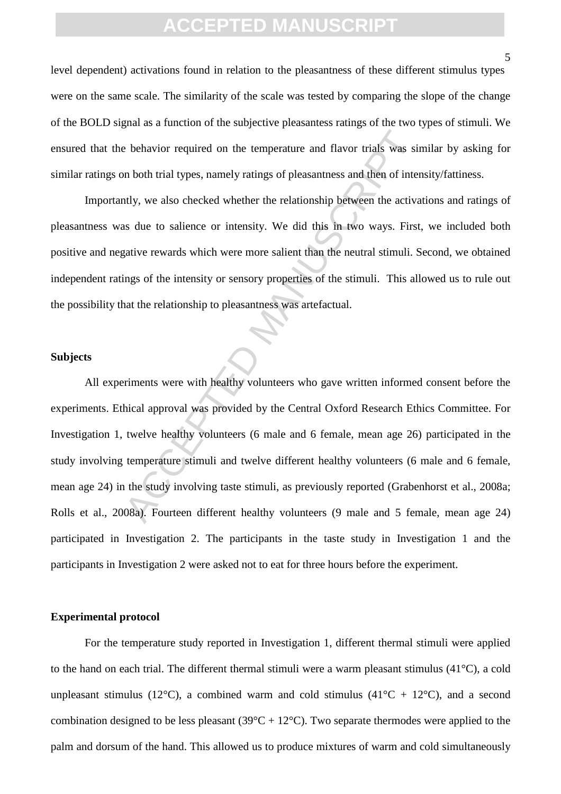level dependent) activations found in relation to the pleasantness of these different stimulus types were on the same scale. The similarity of the scale was tested by comparing the slope of the change of the BOLD signal as a function of the subjective pleasantess ratings of the two types of stimuli. We ensured that the behavior required on the temperature and flavor trials was similar by asking for similar ratings on both trial types, namely ratings of pleasantness and then of intensity/fattiness.

Importantly, we also checked whether the relationship between the activations and ratings of pleasantness was due to salience or intensity. We did this in two ways. First, we included both positive and negative rewards which were more salient than the neutral stimuli. Second, we obtained independent ratings of the intensity or sensory properties of the stimuli. This allowed us to rule out the possibility that the relationship to pleasantness was artefactual.

#### **Subjects**

is behavior required on the temperature and flavor trials was simulated by the temperature and flavor trials was simulated by, we also checked whether the relationship between the actival sum of the salience or intensity. All experiments were with healthy volunteers who gave written informed consent before the experiments. Ethical approval was provided by the Central Oxford Research Ethics Committee. For Investigation 1, twelve healthy volunteers (6 male and 6 female, mean age 26) participated in the study involving temperature stimuli and twelve different healthy volunteers (6 male and 6 female, mean age 24) in the study involving taste stimuli, as previously reported (Grabenhorst et al., 2008a; Rolls et al., 2008a). Fourteen different healthy volunteers (9 male and 5 female, mean age 24) participated in Investigation 2. The participants in the taste study in Investigation 1 and the participants in Investigation 2 were asked not to eat for three hours before the experiment.

#### **Experimental protocol**

For the temperature study reported in Investigation 1, different thermal stimuli were applied to the hand on each trial. The different thermal stimuli were a warm pleasant stimulus (41°C), a cold unpleasant stimulus (12°C), a combined warm and cold stimulus (41°C + 12°C), and a second combination designed to be less pleasant ( $39^{\circ}C + 12^{\circ}C$ ). Two separate thermodes were applied to the palm and dorsum of the hand. This allowed us to produce mixtures of warm and cold simultaneously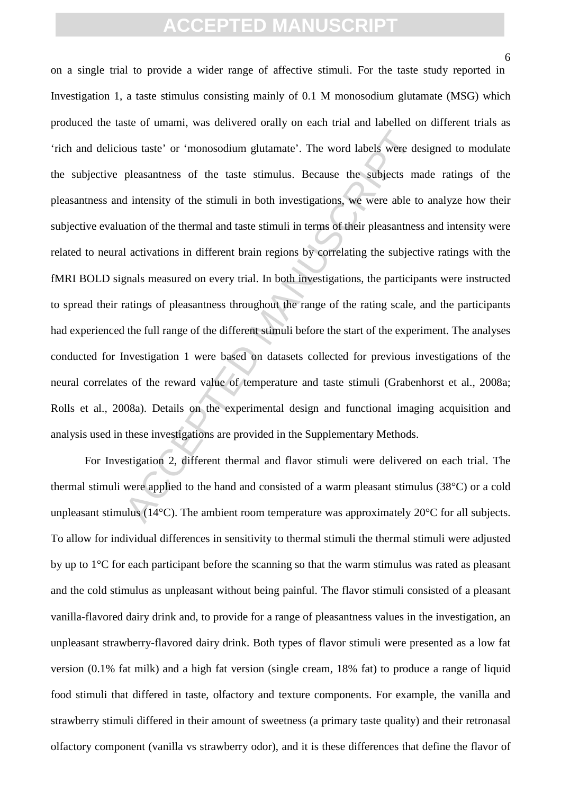6

ous taste' or 'monosodium glutamate'. The word labels were de<br>pleasantness of the taste stimulus. Because the subjects manufactures of the taste stimulus. Because the subjects manufact<br>dimensity of the stimuli in both inve on a single trial to provide a wider range of affective stimuli. For the taste study reported in Investigation 1, a taste stimulus consisting mainly of 0.1 M monosodium glutamate (MSG) which produced the taste of umami, was delivered orally on each trial and labelled on different trials as 'rich and delicious taste' or 'monosodium glutamate'. The word labels were designed to modulate the subjective pleasantness of the taste stimulus. Because the subjects made ratings of the pleasantness and intensity of the stimuli in both investigations, we were able to analyze how their subjective evaluation of the thermal and taste stimuli in terms of their pleasantness and intensity were related to neural activations in different brain regions by correlating the subjective ratings with the fMRI BOLD signals measured on every trial. In both investigations, the participants were instructed to spread their ratings of pleasantness throughout the range of the rating scale, and the participants had experienced the full range of the different stimuli before the start of the experiment. The analyses conducted for Investigation 1 were based on datasets collected for previous investigations of the neural correlates of the reward value of temperature and taste stimuli (Grabenhorst et al., 2008a; Rolls et al., 2008a). Details on the experimental design and functional imaging acquisition and analysis used in these investigations are provided in the Supplementary Methods.

 For Investigation 2, different thermal and flavor stimuli were delivered on each trial. The thermal stimuli were applied to the hand and consisted of a warm pleasant stimulus (38°C) or a cold unpleasant stimulus ( $14^{\circ}$ C). The ambient room temperature was approximately  $20^{\circ}$ C for all subjects. To allow for individual differences in sensitivity to thermal stimuli the thermal stimuli were adjusted by up to 1°C for each participant before the scanning so that the warm stimulus was rated as pleasant and the cold stimulus as unpleasant without being painful. The flavor stimuli consisted of a pleasant vanilla-flavored dairy drink and, to provide for a range of pleasantness values in the investigation, an unpleasant strawberry-flavored dairy drink. Both types of flavor stimuli were presented as a low fat version (0.1% fat milk) and a high fat version (single cream, 18% fat) to produce a range of liquid food stimuli that differed in taste, olfactory and texture components. For example, the vanilla and strawberry stimuli differed in their amount of sweetness (a primary taste quality) and their retronasal olfactory component (vanilla vs strawberry odor), and it is these differences that define the flavor of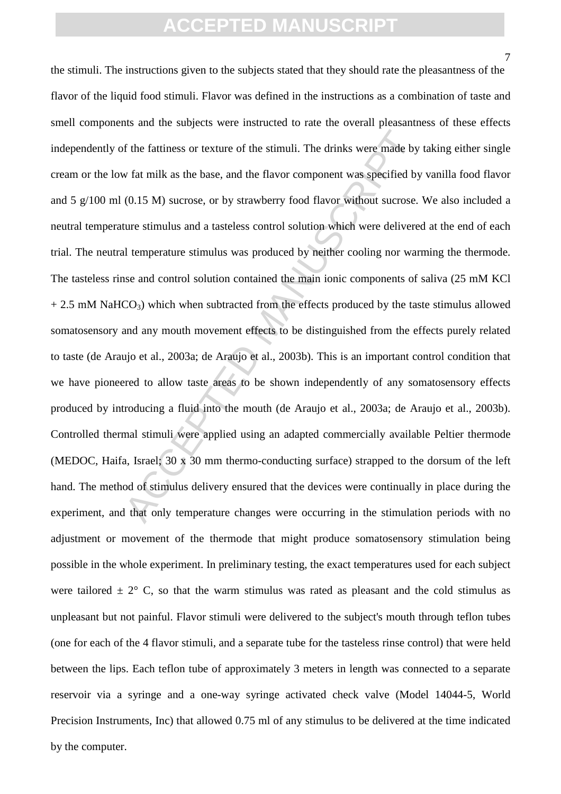7

or f the fattiness or texture of the stimuli. The drinks were made by<br>v fat milk as the base, and the flavor component was specified by<br>(0.15 M) sucrose, or by strawberry food flavor without sucrose.<br>ture stimulus and a ta the stimuli. The instructions given to the subjects stated that they should rate the pleasantness of the flavor of the liquid food stimuli. Flavor was defined in the instructions as a combination of taste and smell components and the subjects were instructed to rate the overall pleasantness of these effects independently of the fattiness or texture of the stimuli. The drinks were made by taking either single cream or the low fat milk as the base, and the flavor component was specified by vanilla food flavor and 5 g/100 ml (0.15 M) sucrose, or by strawberry food flavor without sucrose. We also included a neutral temperature stimulus and a tasteless control solution which were delivered at the end of each trial. The neutral temperature stimulus was produced by neither cooling nor warming the thermode. The tasteless rinse and control solution contained the main ionic components of saliva (25 mM KCl  $+ 2.5$  mM NaHCO<sub>3</sub>) which when subtracted from the effects produced by the taste stimulus allowed somatosensory and any mouth movement effects to be distinguished from the effects purely related to taste (de Araujo et al., 2003a; de Araujo et al., 2003b). This is an important control condition that we have pioneered to allow taste areas to be shown independently of any somatosensory effects produced by introducing a fluid into the mouth (de Araujo et al., 2003a; de Araujo et al., 2003b). Controlled thermal stimuli were applied using an adapted commercially available Peltier thermode (MEDOC, Haifa, Israel; 30 x 30 mm thermo-conducting surface) strapped to the dorsum of the left hand. The method of stimulus delivery ensured that the devices were continually in place during the experiment, and that only temperature changes were occurring in the stimulation periods with no adjustment or movement of the thermode that might produce somatosensory stimulation being possible in the whole experiment. In preliminary testing, the exact temperatures used for each subject were tailored  $\pm 2^{\circ}$  C, so that the warm stimulus was rated as pleasant and the cold stimulus as unpleasant but not painful. Flavor stimuli were delivered to the subject's mouth through teflon tubes (one for each of the 4 flavor stimuli, and a separate tube for the tasteless rinse control) that were held between the lips. Each teflon tube of approximately 3 meters in length was connected to a separate reservoir via a syringe and a one-way syringe activated check valve (Model 14044-5, World Precision Instruments, Inc) that allowed 0.75 ml of any stimulus to be delivered at the time indicated by the computer.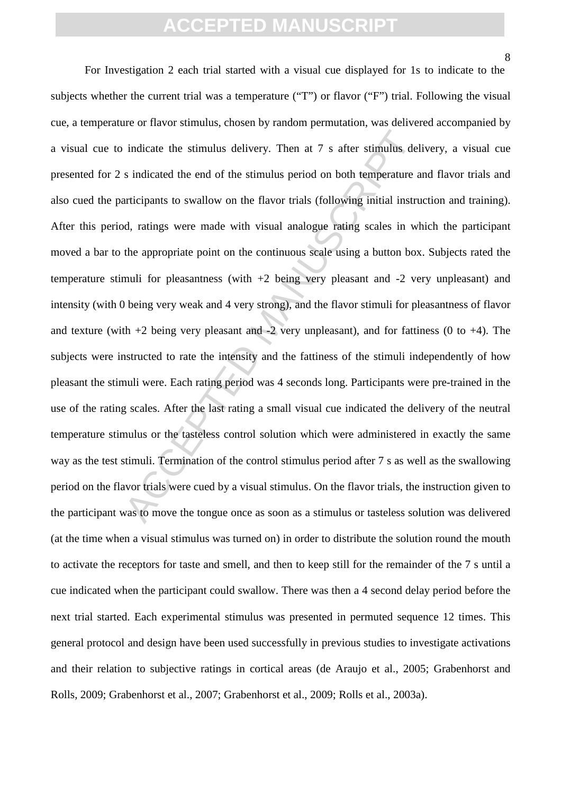indicate the stimulus delivery. Then at 7 s after stimulus del<br>s indicated the end of the stimulus period on both temperature a<br>tricipants to swallow on the flavor trials (following initial instru<br>d, ratings were made wit For Investigation 2 each trial started with a visual cue displayed for 1s to indicate to the subjects whether the current trial was a temperature ("T") or flavor ("F") trial. Following the visual cue, a temperature or flavor stimulus, chosen by random permutation, was delivered accompanied by a visual cue to indicate the stimulus delivery. Then at 7 s after stimulus delivery, a visual cue presented for 2 s indicated the end of the stimulus period on both temperature and flavor trials and also cued the participants to swallow on the flavor trials (following initial instruction and training). After this period, ratings were made with visual analogue rating scales in which the participant moved a bar to the appropriate point on the continuous scale using a button box. Subjects rated the temperature stimuli for pleasantness (with  $+2$  being very pleasant and  $-2$  very unpleasant) and intensity (with 0 being very weak and 4 very strong), and the flavor stimuli for pleasantness of flavor and texture (with  $+2$  being very pleasant and  $-2$  very unpleasant), and for fattiness (0 to  $+4$ ). The subjects were instructed to rate the intensity and the fattiness of the stimuli independently of how pleasant the stimuli were. Each rating period was 4 seconds long. Participants were pre-trained in the use of the rating scales. After the last rating a small visual cue indicated the delivery of the neutral temperature stimulus or the tasteless control solution which were administered in exactly the same way as the test stimuli. Termination of the control stimulus period after 7 s as well as the swallowing period on the flavor trials were cued by a visual stimulus. On the flavor trials, the instruction given to the participant was to move the tongue once as soon as a stimulus or tasteless solution was delivered (at the time when a visual stimulus was turned on) in order to distribute the solution round the mouth to activate the receptors for taste and smell, and then to keep still for the remainder of the 7 s until a cue indicated when the participant could swallow. There was then a 4 second delay period before the next trial started. Each experimental stimulus was presented in permuted sequence 12 times. This general protocol and design have been used successfully in previous studies to investigate activations and their relation to subjective ratings in cortical areas (de Araujo et al., 2005; Grabenhorst and Rolls, 2009; Grabenhorst et al., 2007; Grabenhorst et al., 2009; Rolls et al., 2003a).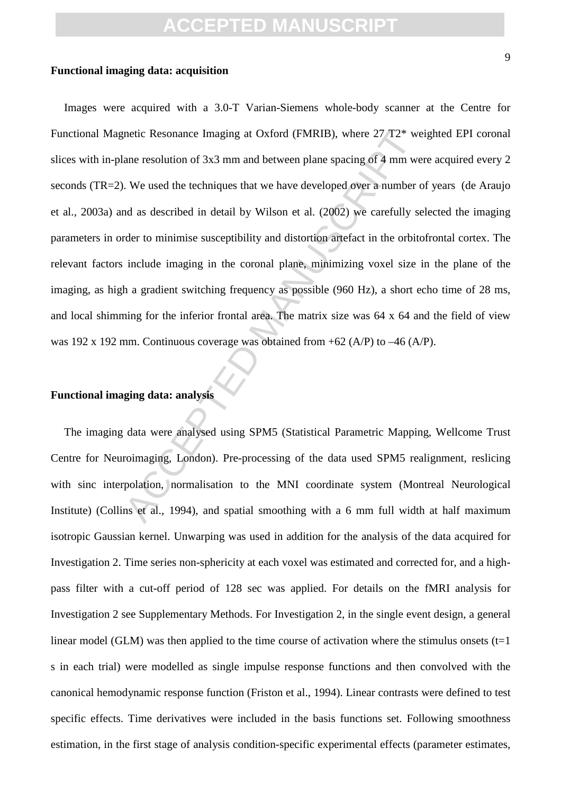#### **Functional imaging data: acquisition**

metic Resonance Imaging at Oxford (FMRIB), where  $27$  T2\* we<br>ane resolution of 3x3 mm and between plane spacing of 4 mm we<br>are resolution of 3x3 mm and between plane spacing of 4 mm we<br>We used the techniques that we have Images were acquired with a 3.0-T Varian-Siemens whole-body scanner at the Centre for Functional Magnetic Resonance Imaging at Oxford (FMRIB), where 27 T2\* weighted EPI coronal slices with in-plane resolution of 3x3 mm and between plane spacing of 4 mm were acquired every 2 seconds (TR=2). We used the techniques that we have developed over a number of years (de Araujo et al., 2003a) and as described in detail by Wilson et al. (2002) we carefully selected the imaging parameters in order to minimise susceptibility and distortion artefact in the orbitofrontal cortex. The relevant factors include imaging in the coronal plane, minimizing voxel size in the plane of the imaging, as high a gradient switching frequency as possible (960 Hz), a short echo time of 28 ms, and local shimming for the inferior frontal area. The matrix size was 64 x 64 and the field of view was 192 x 192 mm. Continuous coverage was obtained from +62 (A/P) to –46 (A/P).

#### **Functional imaging data: analysis**

The imaging data were analysed using SPM5 (Statistical Parametric Mapping, Wellcome Trust Centre for Neuroimaging, London). Pre-processing of the data used SPM5 realignment, reslicing with sinc interpolation, normalisation to the MNI coordinate system (Montreal Neurological Institute) (Collins et al., 1994), and spatial smoothing with a 6 mm full width at half maximum isotropic Gaussian kernel. Unwarping was used in addition for the analysis of the data acquired for Investigation 2. Time series non-sphericity at each voxel was estimated and corrected for, and a highpass filter with a cut-off period of 128 sec was applied. For details on the fMRI analysis for Investigation 2 see Supplementary Methods. For Investigation 2, in the single event design, a general linear model (GLM) was then applied to the time course of activation where the stimulus onsets  $(t=1)$ s in each trial) were modelled as single impulse response functions and then convolved with the canonical hemodynamic response function (Friston et al., 1994). Linear contrasts were defined to test specific effects. Time derivatives were included in the basis functions set. Following smoothness estimation, in the first stage of analysis condition-specific experimental effects (parameter estimates,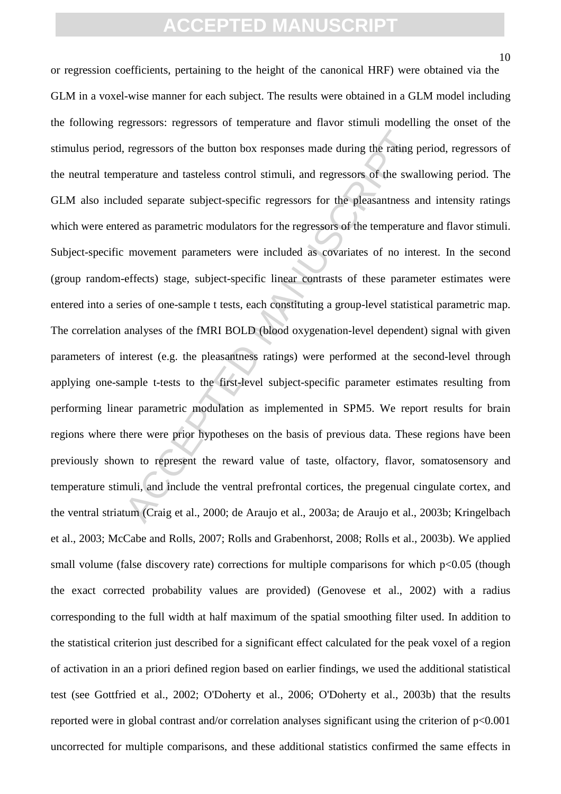10

regressors of the button box responses made during the rating p<br>perature and tasteless control stimuli, and regressors of the swal<br>uded separate subject-specific regressors for the pleasantness a<br>reed as parametric modulat or regression coefficients, pertaining to the height of the canonical HRF) were obtained via the GLM in a voxel-wise manner for each subject. The results were obtained in a GLM model including the following regressors: regressors of temperature and flavor stimuli modelling the onset of the stimulus period, regressors of the button box responses made during the rating period, regressors of the neutral temperature and tasteless control stimuli, and regressors of the swallowing period. The GLM also included separate subject-specific regressors for the pleasantness and intensity ratings which were entered as parametric modulators for the regressors of the temperature and flavor stimuli. Subject-specific movement parameters were included as covariates of no interest. In the second (group random-effects) stage, subject-specific linear contrasts of these parameter estimates were entered into a series of one-sample t tests, each constituting a group-level statistical parametric map. The correlation analyses of the fMRI BOLD (blood oxygenation-level dependent) signal with given parameters of interest (e.g. the pleasantness ratings) were performed at the second-level through applying one-sample t-tests to the first-level subject-specific parameter estimates resulting from performing linear parametric modulation as implemented in SPM5. We report results for brain regions where there were prior hypotheses on the basis of previous data. These regions have been previously shown to represent the reward value of taste, olfactory, flavor, somatosensory and temperature stimuli, and include the ventral prefrontal cortices, the pregenual cingulate cortex, and the ventral striatum (Craig et al., 2000; de Araujo et al., 2003a; de Araujo et al., 2003b; Kringelbach et al., 2003; McCabe and Rolls, 2007; Rolls and Grabenhorst, 2008; Rolls et al., 2003b). We applied small volume (false discovery rate) corrections for multiple comparisons for which  $p<0.05$  (though the exact corrected probability values are provided) (Genovese et al., 2002) with a radius corresponding to the full width at half maximum of the spatial smoothing filter used. In addition to the statistical criterion just described for a significant effect calculated for the peak voxel of a region of activation in an a priori defined region based on earlier findings, we used the additional statistical test (see Gottfried et al., 2002; O'Doherty et al., 2006; O'Doherty et al., 2003b) that the results reported were in global contrast and/or correlation analyses significant using the criterion of p<0.001 uncorrected for multiple comparisons, and these additional statistics confirmed the same effects in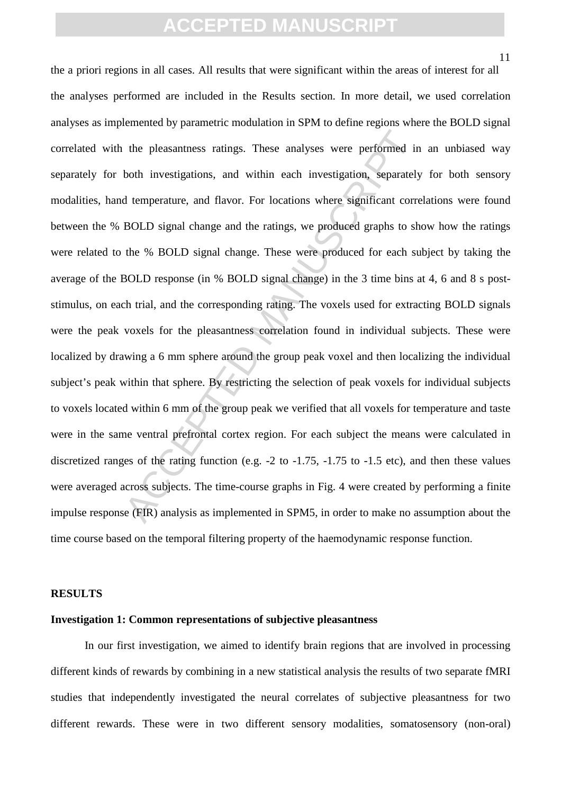11

the pleasantness ratings. These analyses were performed in<br>both investigations, and within each investigation, separately<br>d temperature, and flavor. For locations where significant corre<br>BOLD signal change and the ratings, the a priori regions in all cases. All results that were significant within the areas of interest for all the analyses performed are included in the Results section. In more detail, we used correlation analyses as implemented by parametric modulation in SPM to define regions where the BOLD signal correlated with the pleasantness ratings. These analyses were performed in an unbiased way separately for both investigations, and within each investigation, separately for both sensory modalities, hand temperature, and flavor. For locations where significant correlations were found between the % BOLD signal change and the ratings, we produced graphs to show how the ratings were related to the % BOLD signal change. These were produced for each subject by taking the average of the BOLD response (in % BOLD signal change) in the 3 time bins at 4, 6 and 8 s poststimulus, on each trial, and the corresponding rating. The voxels used for extracting BOLD signals were the peak voxels for the pleasantness correlation found in individual subjects. These were localized by drawing a 6 mm sphere around the group peak voxel and then localizing the individual subject's peak within that sphere. By restricting the selection of peak voxels for individual subjects to voxels located within 6 mm of the group peak we verified that all voxels for temperature and taste were in the same ventral prefrontal cortex region. For each subject the means were calculated in discretized ranges of the rating function (e.g. -2 to -1.75, -1.75 to -1.5 etc), and then these values were averaged across subjects. The time-course graphs in Fig. 4 were created by performing a finite impulse response (FIR) analysis as implemented in SPM5, in order to make no assumption about the time course based on the temporal filtering property of the haemodynamic response function.

#### **RESULTS**

#### **Investigation 1: Common representations of subjective pleasantness**

In our first investigation, we aimed to identify brain regions that are involved in processing different kinds of rewards by combining in a new statistical analysis the results of two separate fMRI studies that independently investigated the neural correlates of subjective pleasantness for two different rewards. These were in two different sensory modalities, somatosensory (non-oral)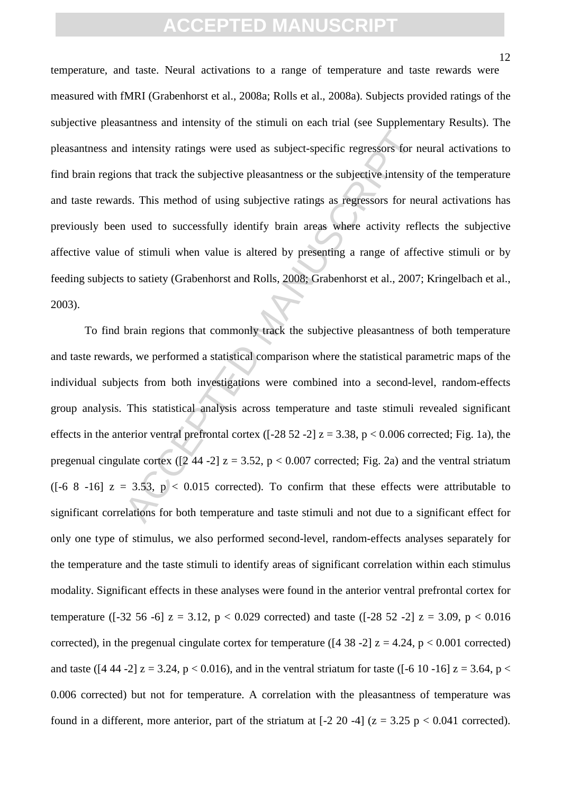temperature, and taste. Neural activations to a range of temperature and taste rewards were measured with fMRI (Grabenhorst et al., 2008a; Rolls et al., 2008a). Subjects provided ratings of the subjective pleasantness and intensity of the stimuli on each trial (see Supplementary Results). The pleasantness and intensity ratings were used as subject-specific regressors for neural activations to find brain regions that track the subjective pleasantness or the subjective intensity of the temperature and taste rewards. This method of using subjective ratings as regressors for neural activations has previously been used to successfully identify brain areas where activity reflects the subjective affective value of stimuli when value is altered by presenting a range of affective stimuli or by feeding subjects to satiety (Grabenhorst and Rolls, 2008; Grabenhorst et al., 2007; Kringelbach et al., 2003).

d intensity ratings were used as subject-specific regressors for m<br>s that track the subjective pleasantness or the subjective intensity<br>ds. This method of using subjective ratings as regressors for ne<br>nused to successfull To find brain regions that commonly track the subjective pleasantness of both temperature and taste rewards, we performed a statistical comparison where the statistical parametric maps of the individual subjects from both investigations were combined into a second-level, random-effects group analysis. This statistical analysis across temperature and taste stimuli revealed significant effects in the anterior ventral prefrontal cortex ( $[-28 52 -2]$  z = 3.38, p < 0.006 corrected; Fig. 1a), the pregenual cingulate cortex ( $\lceil 2 \, 44 \, -2 \rceil$  z = 3.52, p < 0.007 corrected; Fig. 2a) and the ventral striatum ([-6 8 -16]  $z = 3.53$ ,  $p < 0.015$  corrected). To confirm that these effects were attributable to significant correlations for both temperature and taste stimuli and not due to a significant effect for only one type of stimulus, we also performed second-level, random-effects analyses separately for the temperature and the taste stimuli to identify areas of significant correlation within each stimulus modality. Significant effects in these analyses were found in the anterior ventral prefrontal cortex for temperature ( $[-32, 56, -6]$   $z = 3.12$ ,  $p < 0.029$  corrected) and taste ( $[-28, 52, -2]$   $z = 3.09$ ,  $p < 0.016$ corrected), in the pregenual cingulate cortex for temperature ( $[4 38 -2]$  z = 4.24, p < 0.001 corrected) and taste ([4 44 -2]  $z = 3.24$ ,  $p < 0.016$ ), and in the ventral striatum for taste ([-6 10 -16]  $z = 3.64$ ,  $p <$ 0.006 corrected) but not for temperature. A correlation with the pleasantness of temperature was found in a different, more anterior, part of the striatum at  $[-2 20 -4]$  ( $z = 3.25$  p < 0.041 corrected).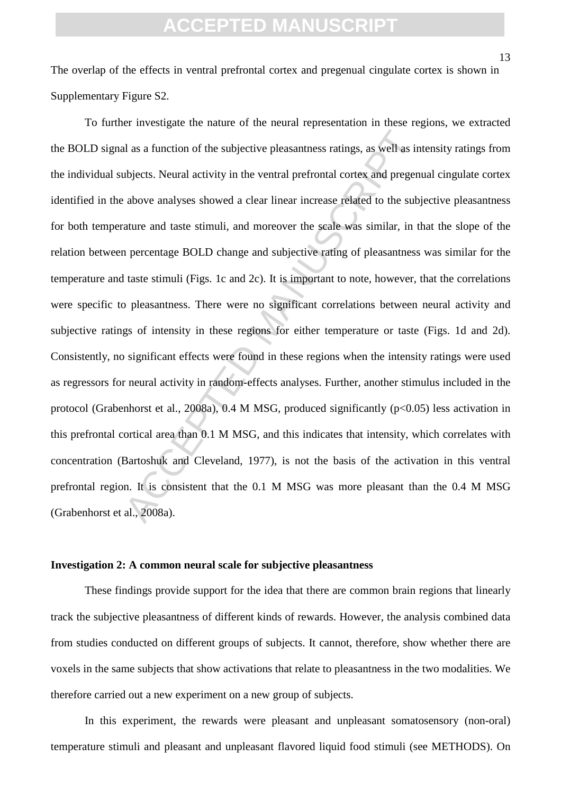The overlap of the effects in ventral prefrontal cortex and pregenual cingulate cortex is shown in Supplementary Figure S2.

al as a function of the subjective pleasantness ratings, as well as in<br>abjects. Neural activity in the ventral prefrontal cortex and pregen<br>above analyses showed a clear linear increase related to the sub-<br>ature and taste To further investigate the nature of the neural representation in these regions, we extracted the BOLD signal as a function of the subjective pleasantness ratings, as well as intensity ratings from the individual subjects. Neural activity in the ventral prefrontal cortex and pregenual cingulate cortex identified in the above analyses showed a clear linear increase related to the subjective pleasantness for both temperature and taste stimuli, and moreover the scale was similar, in that the slope of the relation between percentage BOLD change and subjective rating of pleasantness was similar for the temperature and taste stimuli (Figs. 1c and 2c). It is important to note, however, that the correlations were specific to pleasantness. There were no significant correlations between neural activity and subjective ratings of intensity in these regions for either temperature or taste (Figs. 1d and 2d). Consistently, no significant effects were found in these regions when the intensity ratings were used as regressors for neural activity in random-effects analyses. Further, another stimulus included in the protocol (Grabenhorst et al., 2008a), 0.4 M MSG, produced significantly (p<0.05) less activation in this prefrontal cortical area than 0.1 M MSG, and this indicates that intensity, which correlates with concentration (Bartoshuk and Cleveland, 1977), is not the basis of the activation in this ventral prefrontal region. It is consistent that the 0.1 M MSG was more pleasant than the 0.4 M MSG (Grabenhorst et al., 2008a).

#### **Investigation 2: A common neural scale for subjective pleasantness**

These findings provide support for the idea that there are common brain regions that linearly track the subjective pleasantness of different kinds of rewards. However, the analysis combined data from studies conducted on different groups of subjects. It cannot, therefore, show whether there are voxels in the same subjects that show activations that relate to pleasantness in the two modalities. We therefore carried out a new experiment on a new group of subjects.

In this experiment, the rewards were pleasant and unpleasant somatosensory (non-oral) temperature stimuli and pleasant and unpleasant flavored liquid food stimuli (see METHODS). On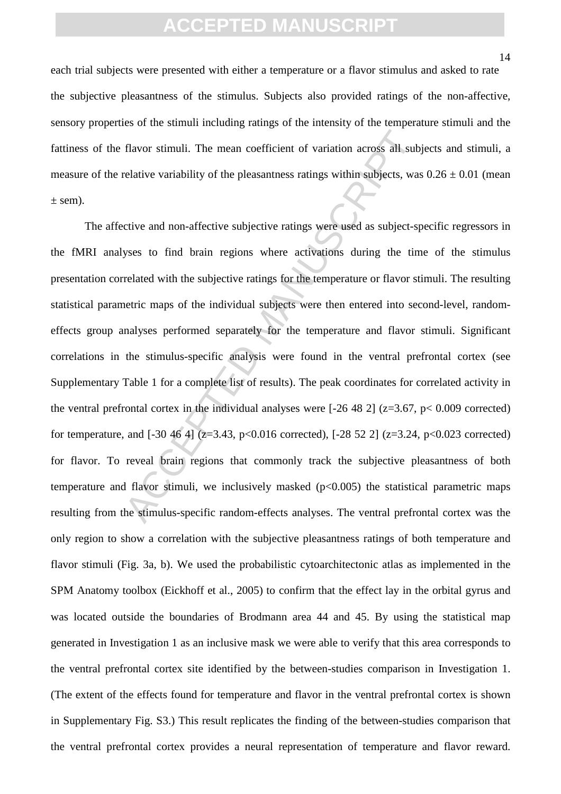each trial subjects were presented with either a temperature or a flavor stimulus and asked to rate the subjective pleasantness of the stimulus. Subjects also provided ratings of the non-affective, sensory properties of the stimuli including ratings of the intensity of the temperature stimuli and the fattiness of the flavor stimuli. The mean coefficient of variation across all subjects and stimuli, a measure of the relative variability of the pleasantness ratings within subjects, was  $0.26 \pm 0.01$  (mean  $\pm$  sem).

flavor stimuli. The mean coefficient of variation across all sub-<br>relative variability of the pleasantness ratings within subjects, was<br>ctive and non-affective subjective ratings were used as subject-s-<br>yses to find brain The affective and non-affective subjective ratings were used as subject-specific regressors in the fMRI analyses to find brain regions where activations during the time of the stimulus presentation correlated with the subjective ratings for the temperature or flavor stimuli. The resulting statistical parametric maps of the individual subjects were then entered into second-level, randomeffects group analyses performed separately for the temperature and flavor stimuli. Significant correlations in the stimulus-specific analysis were found in the ventral prefrontal cortex (see Supplementary Table 1 for a complete list of results). The peak coordinates for correlated activity in the ventral prefrontal cortex in the individual analyses were  $[-26 48 2]$  ( $z=3.67$ ,  $p< 0.009$  corrected) for temperature, and  $[-30, 46, 4]$  ( $z=3.43$ ,  $p<0.016$  corrected),  $[-28, 52, 2]$  ( $z=3.24$ ,  $p<0.023$  corrected) for flavor. To reveal brain regions that commonly track the subjective pleasantness of both temperature and flavor stimuli, we inclusively masked  $(p<0.005)$  the statistical parametric maps resulting from the stimulus-specific random-effects analyses. The ventral prefrontal cortex was the only region to show a correlation with the subjective pleasantness ratings of both temperature and flavor stimuli (Fig. 3a, b). We used the probabilistic cytoarchitectonic atlas as implemented in the SPM Anatomy toolbox (Eickhoff et al., 2005) to confirm that the effect lay in the orbital gyrus and was located outside the boundaries of Brodmann area 44 and 45. By using the statistical map generated in Investigation 1 as an inclusive mask we were able to verify that this area corresponds to the ventral prefrontal cortex site identified by the between-studies comparison in Investigation 1. (The extent of the effects found for temperature and flavor in the ventral prefrontal cortex is shown in Supplementary Fig. S3.) This result replicates the finding of the between-studies comparison that the ventral prefrontal cortex provides a neural representation of temperature and flavor reward.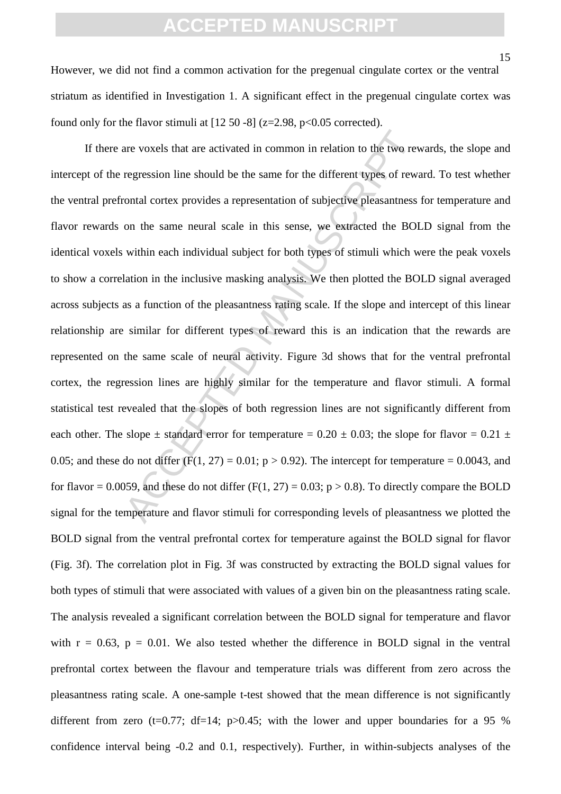However, we did not find a common activation for the pregenual cingulate cortex or the ventral striatum as identified in Investigation 1. A significant effect in the pregenual cingulate cortex was found only for the flavor stimuli at  $[12 50 -8]$  (z=2.98, p<0.05 corrected).

are voxels that are activated in common in relation to the two revergent regression line should be the same for the different types of rews contal cortex provides a representation of subjective pleasantness on the same ne If there are voxels that are activated in common in relation to the two rewards, the slope and intercept of the regression line should be the same for the different types of reward. To test whether the ventral prefrontal cortex provides a representation of subjective pleasantness for temperature and flavor rewards on the same neural scale in this sense, we extracted the BOLD signal from the identical voxels within each individual subject for both types of stimuli which were the peak voxels to show a correlation in the inclusive masking analysis. We then plotted the BOLD signal averaged across subjects as a function of the pleasantness rating scale. If the slope and intercept of this linear relationship are similar for different types of reward this is an indication that the rewards are represented on the same scale of neural activity. Figure 3d shows that for the ventral prefrontal cortex, the regression lines are highly similar for the temperature and flavor stimuli. A formal statistical test revealed that the slopes of both regression lines are not significantly different from each other. The slope  $\pm$  standard error for temperature = 0.20  $\pm$  0.03; the slope for flavor = 0.21  $\pm$ 0.05; and these do not differ  $(F(1, 27) = 0.01; p > 0.92)$ . The intercept for temperature = 0.0043, and for flavor = 0.0059, and these do not differ (F(1, 27) = 0.03;  $p > 0.8$ ). To directly compare the BOLD signal for the temperature and flavor stimuli for corresponding levels of pleasantness we plotted the BOLD signal from the ventral prefrontal cortex for temperature against the BOLD signal for flavor (Fig. 3f). The correlation plot in Fig. 3f was constructed by extracting the BOLD signal values for both types of stimuli that were associated with values of a given bin on the pleasantness rating scale. The analysis revealed a significant correlation between the BOLD signal for temperature and flavor with  $r = 0.63$ ,  $p = 0.01$ . We also tested whether the difference in BOLD signal in the ventral prefrontal cortex between the flavour and temperature trials was different from zero across the pleasantness rating scale. A one-sample t-test showed that the mean difference is not significantly different from zero (t=0.77; df=14; p>0.45; with the lower and upper boundaries for a 95 % confidence interval being -0.2 and 0.1, respectively). Further, in within-subjects analyses of the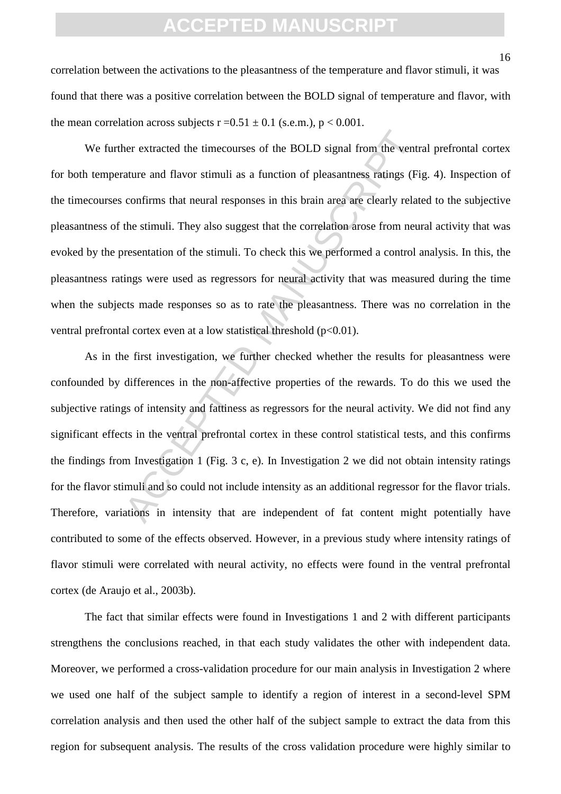correlation between the activations to the pleasantness of the temperature and flavor stimuli, it was found that there was a positive correlation between the BOLD signal of temperature and flavor, with the mean correlation across subjects  $r = 0.51 \pm 0.1$  (s.e.m.),  $p < 0.001$ .

ner extracted the timecourses of the BOLD signal from the ventrature and flavor stimuli as a function of pleasantness ratings (Fi confirms that neural responses in this brain area are clearly related the stimuli. They also We further extracted the timecourses of the BOLD signal from the ventral prefrontal cortex for both temperature and flavor stimuli as a function of pleasantness ratings (Fig. 4). Inspection of the timecourses confirms that neural responses in this brain area are clearly related to the subjective pleasantness of the stimuli. They also suggest that the correlation arose from neural activity that was evoked by the presentation of the stimuli. To check this we performed a control analysis. In this, the pleasantness ratings were used as regressors for neural activity that was measured during the time when the subjects made responses so as to rate the pleasantness. There was no correlation in the ventral prefrontal cortex even at a low statistical threshold  $(p<0.01)$ .

As in the first investigation, we further checked whether the results for pleasantness were confounded by differences in the non-affective properties of the rewards. To do this we used the subjective ratings of intensity and fattiness as regressors for the neural activity. We did not find any significant effects in the ventral prefrontal cortex in these control statistical tests, and this confirms the findings from Investigation 1 (Fig. 3 c, e). In Investigation 2 we did not obtain intensity ratings for the flavor stimuli and so could not include intensity as an additional regressor for the flavor trials. Therefore, variations in intensity that are independent of fat content might potentially have contributed to some of the effects observed. However, in a previous study where intensity ratings of flavor stimuli were correlated with neural activity, no effects were found in the ventral prefrontal cortex (de Araujo et al., 2003b).

The fact that similar effects were found in Investigations 1 and 2 with different participants strengthens the conclusions reached, in that each study validates the other with independent data. Moreover, we performed a cross-validation procedure for our main analysis in Investigation 2 where we used one half of the subject sample to identify a region of interest in a second-level SPM correlation analysis and then used the other half of the subject sample to extract the data from this region for subsequent analysis. The results of the cross validation procedure were highly similar to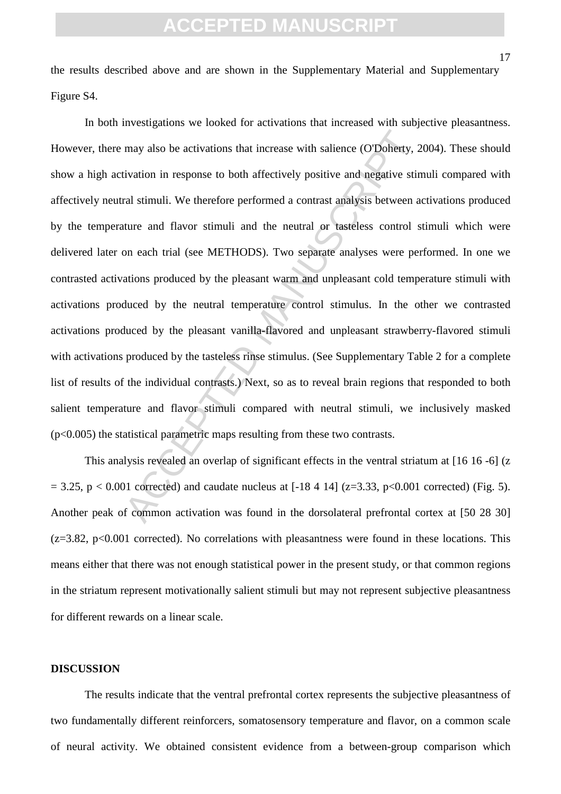the results described above and are shown in the Supplementary Material and Supplementary Figure S4.

may also be activations that increase with salience (OTDoherty, 2<br>iivation in response to both affectively positive and negative stir<br>ral stimuli. We therefore performed a contrast analysis between a<br>ture and flavor stimu In both investigations we looked for activations that increased with subjective pleasantness. However, there may also be activations that increase with salience (O'Doherty, 2004). These should show a high activation in response to both affectively positive and negative stimuli compared with affectively neutral stimuli. We therefore performed a contrast analysis between activations produced by the temperature and flavor stimuli and the neutral or tasteless control stimuli which were delivered later on each trial (see METHODS). Two separate analyses were performed. In one we contrasted activations produced by the pleasant warm and unpleasant cold temperature stimuli with activations produced by the neutral temperature control stimulus. In the other we contrasted activations produced by the pleasant vanilla-flavored and unpleasant strawberry-flavored stimuli with activations produced by the tasteless rinse stimulus. (See Supplementary Table 2 for a complete list of results of the individual contrasts.) Next, so as to reveal brain regions that responded to both salient temperature and flavor stimuli compared with neutral stimuli, we inclusively masked (p<0.005) the statistical parametric maps resulting from these two contrasts.

This analysis revealed an overlap of significant effects in the ventral striatum at [16 16 -6] (z  $= 3.25$ , p < 0.001 corrected) and caudate nucleus at [-18 4 14] (z=3.33, p<0.001 corrected) (Fig. 5). Another peak of common activation was found in the dorsolateral prefrontal cortex at [50 28 30]  $(z=3.82, p<0.001$  corrected). No correlations with pleasantness were found in these locations. This means either that there was not enough statistical power in the present study, or that common regions in the striatum represent motivationally salient stimuli but may not represent subjective pleasantness for different rewards on a linear scale.

#### **DISCUSSION**

The results indicate that the ventral prefrontal cortex represents the subjective pleasantness of two fundamentally different reinforcers, somatosensory temperature and flavor, on a common scale of neural activity. We obtained consistent evidence from a between-group comparison which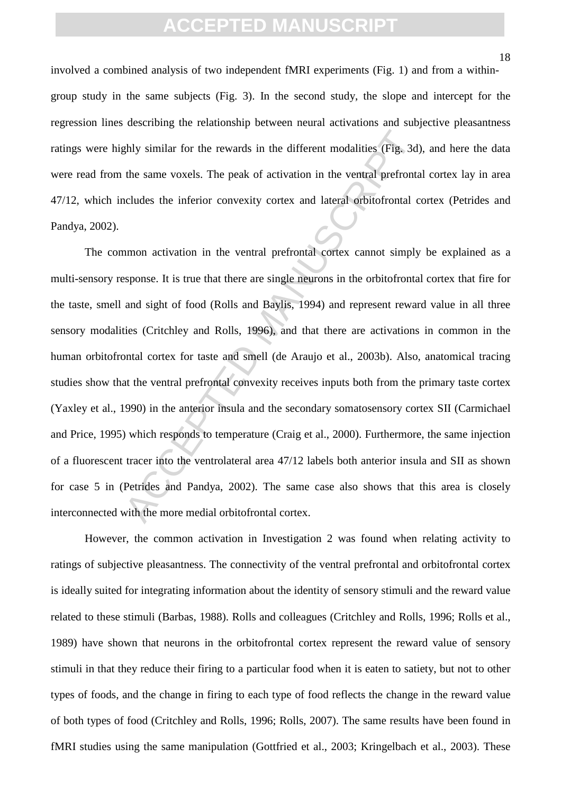involved a combined analysis of two independent fMRI experiments (Fig. 1) and from a withingroup study in the same subjects (Fig. 3). In the second study, the slope and intercept for the regression lines describing the relationship between neural activations and subjective pleasantness ratings were highly similar for the rewards in the different modalities (Fig. 3d), and here the data were read from the same voxels. The peak of activation in the ventral prefrontal cortex lay in area 47/12, which includes the inferior convexity cortex and lateral orbitofrontal cortex (Petrides and Pandya, 2002).

ghly similar for the rewards in the different modalities (Fig. 3d)<br>the same voxels. The peak of activation in the ventral prefronta<br>reludes the inferior convexity cortex and lateral orbitofrontal c<br>numon activation in the The common activation in the ventral prefrontal cortex cannot simply be explained as a multi-sensory response. It is true that there are single neurons in the orbitofrontal cortex that fire for the taste, smell and sight of food (Rolls and Baylis, 1994) and represent reward value in all three sensory modalities (Critchley and Rolls, 1996), and that there are activations in common in the human orbitofrontal cortex for taste and smell (de Araujo et al., 2003b). Also, anatomical tracing studies show that the ventral prefrontal convexity receives inputs both from the primary taste cortex (Yaxley et al., 1990) in the anterior insula and the secondary somatosensory cortex SII (Carmichael and Price, 1995) which responds to temperature (Craig et al., 2000). Furthermore, the same injection of a fluorescent tracer into the ventrolateral area 47/12 labels both anterior insula and SII as shown for case 5 in (Petrides and Pandya, 2002). The same case also shows that this area is closely interconnected with the more medial orbitofrontal cortex.

However, the common activation in Investigation 2 was found when relating activity to ratings of subjective pleasantness. The connectivity of the ventral prefrontal and orbitofrontal cortex is ideally suited for integrating information about the identity of sensory stimuli and the reward value related to these stimuli (Barbas, 1988). Rolls and colleagues (Critchley and Rolls, 1996; Rolls et al., 1989) have shown that neurons in the orbitofrontal cortex represent the reward value of sensory stimuli in that they reduce their firing to a particular food when it is eaten to satiety, but not to other types of foods, and the change in firing to each type of food reflects the change in the reward value of both types of food (Critchley and Rolls, 1996; Rolls, 2007). The same results have been found in fMRI studies using the same manipulation (Gottfried et al., 2003; Kringelbach et al., 2003). These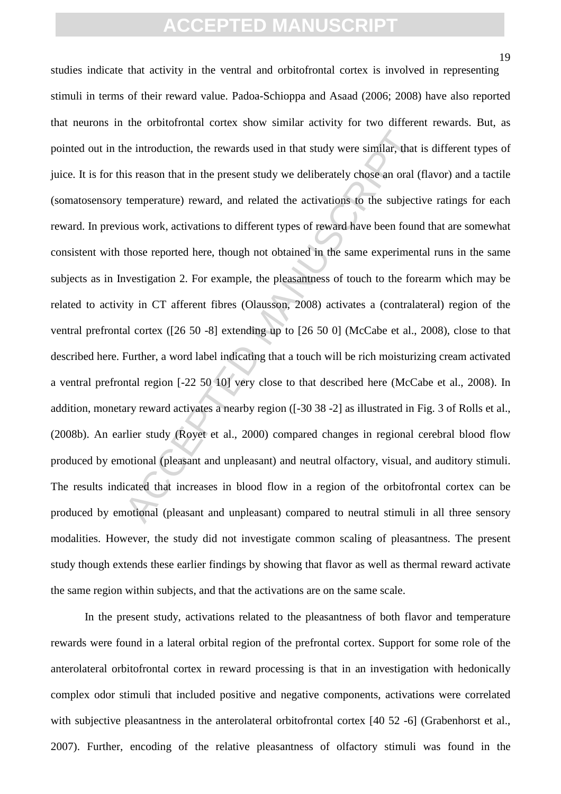19

the introduction, the rewards used in that study were similar, that<br>is reason that in the present study we deliberately chose an oral (<br>temperature) reward, and related the activations to the subjecti<br>ous work, activations studies indicate that activity in the ventral and orbitofrontal cortex is involved in representing stimuli in terms of their reward value. Padoa-Schioppa and Asaad (2006; 2008) have also reported that neurons in the orbitofrontal cortex show similar activity for two different rewards. But, as pointed out in the introduction, the rewards used in that study were similar, that is different types of juice. It is for this reason that in the present study we deliberately chose an oral (flavor) and a tactile (somatosensory temperature) reward, and related the activations to the subjective ratings for each reward. In previous work, activations to different types of reward have been found that are somewhat consistent with those reported here, though not obtained in the same experimental runs in the same subjects as in Investigation 2. For example, the pleasantness of touch to the forearm which may be related to activity in CT afferent fibres (Olausson, 2008) activates a (contralateral) region of the ventral prefrontal cortex ([26 50 -8] extending up to [26 50 0] (McCabe et al., 2008), close to that described here. Further, a word label indicating that a touch will be rich moisturizing cream activated a ventral prefrontal region [-22 50 10] very close to that described here (McCabe et al., 2008). In addition, monetary reward activates a nearby region ([-30 38 -2] as illustrated in Fig. 3 of Rolls et al., (2008b). An earlier study (Royet et al., 2000) compared changes in regional cerebral blood flow produced by emotional (pleasant and unpleasant) and neutral olfactory, visual, and auditory stimuli. The results indicated that increases in blood flow in a region of the orbitofrontal cortex can be produced by emotional (pleasant and unpleasant) compared to neutral stimuli in all three sensory modalities. However, the study did not investigate common scaling of pleasantness. The present study though extends these earlier findings by showing that flavor as well as thermal reward activate the same region within subjects, and that the activations are on the same scale.

In the present study, activations related to the pleasantness of both flavor and temperature rewards were found in a lateral orbital region of the prefrontal cortex. Support for some role of the anterolateral orbitofrontal cortex in reward processing is that in an investigation with hedonically complex odor stimuli that included positive and negative components, activations were correlated with subjective pleasantness in the anterolateral orbitofrontal cortex [40 52 -6] (Grabenhorst et al., 2007). Further, encoding of the relative pleasantness of olfactory stimuli was found in the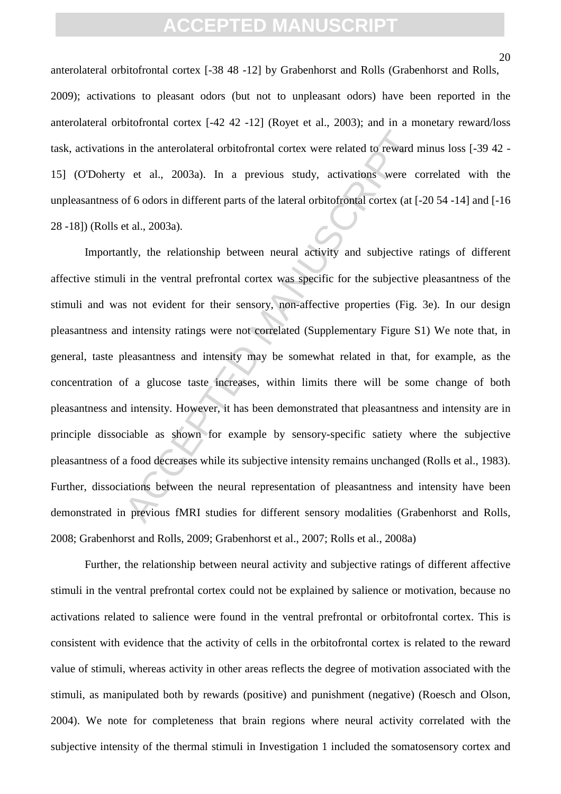anterolateral orbitofrontal cortex [-38 48 -12] by Grabenhorst and Rolls (Grabenhorst and Rolls, 2009); activations to pleasant odors (but not to unpleasant odors) have been reported in the anterolateral orbitofrontal cortex [-42 42 -12] (Royet et al., 2003); and in a monetary reward/loss task, activations in the anterolateral orbitofrontal cortex were related to reward minus loss [-39 42 - 15] (O'Doherty et al., 2003a). In a previous study, activations were correlated with the unpleasantness of 6 odors in different parts of the lateral orbitofrontal cortex (at [-20 54 -14] and [-16 28 -18]) (Rolls et al., 2003a).

For all, 2003a). In a previous study, activations were  $\alpha$  all, 2003a). In a previous study, activations were coffed of odors in different parts of the lateral orbitofrontal cortex (at [-<br>t al., 2003a). In a previous stu Importantly, the relationship between neural activity and subjective ratings of different affective stimuli in the ventral prefrontal cortex was specific for the subjective pleasantness of the stimuli and was not evident for their sensory, non-affective properties (Fig. 3e). In our design pleasantness and intensity ratings were not correlated (Supplementary Figure S1) We note that, in general, taste pleasantness and intensity may be somewhat related in that, for example, as the concentration of a glucose taste increases, within limits there will be some change of both pleasantness and intensity. However, it has been demonstrated that pleasantness and intensity are in principle dissociable as shown for example by sensory-specific satiety where the subjective pleasantness of a food decreases while its subjective intensity remains unchanged (Rolls et al., 1983). Further, dissociations between the neural representation of pleasantness and intensity have been demonstrated in previous fMRI studies for different sensory modalities (Grabenhorst and Rolls, 2008; Grabenhorst and Rolls, 2009; Grabenhorst et al., 2007; Rolls et al., 2008a)

Further, the relationship between neural activity and subjective ratings of different affective stimuli in the ventral prefrontal cortex could not be explained by salience or motivation, because no activations related to salience were found in the ventral prefrontal or orbitofrontal cortex. This is consistent with evidence that the activity of cells in the orbitofrontal cortex is related to the reward value of stimuli, whereas activity in other areas reflects the degree of motivation associated with the stimuli, as manipulated both by rewards (positive) and punishment (negative) (Roesch and Olson, 2004). We note for completeness that brain regions where neural activity correlated with the subjective intensity of the thermal stimuli in Investigation 1 included the somatosensory cortex and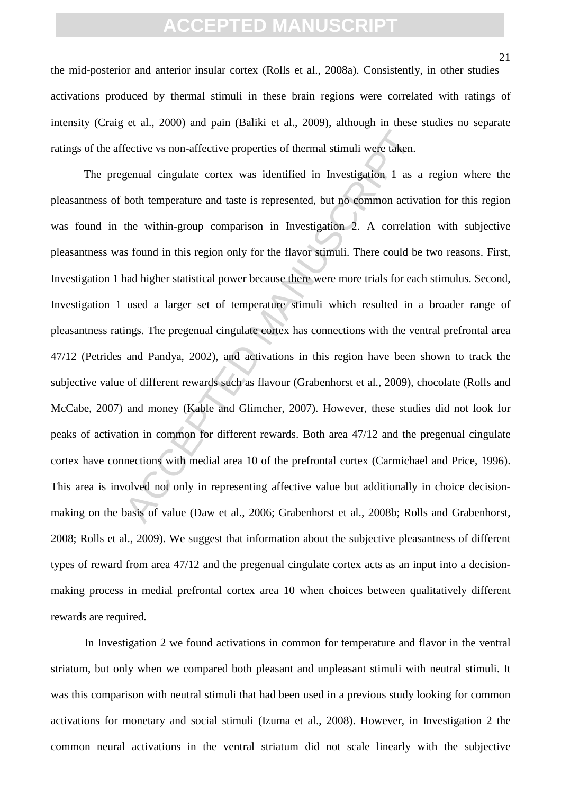the mid-posterior and anterior insular cortex (Rolls et al., 2008a). Consistently, in other studies activations produced by thermal stimuli in these brain regions were correlated with ratings of intensity (Craig et al., 2000) and pain (Baliki et al., 2009), although in these studies no separate ratings of the affective vs non-affective properties of thermal stimuli were taken.

fective vs non-affective properties of thermal stimuli were taken.<br>
genual cingulate cortex was identified in Investigation 1 as a<br>
both temperature and taste is represented, but no common active<br>
the within-group comparis The pregenual cingulate cortex was identified in Investigation 1 as a region where the pleasantness of both temperature and taste is represented, but no common activation for this region was found in the within-group comparison in Investigation 2. A correlation with subjective pleasantness was found in this region only for the flavor stimuli. There could be two reasons. First, Investigation 1 had higher statistical power because there were more trials for each stimulus. Second, Investigation 1 used a larger set of temperature stimuli which resulted in a broader range of pleasantness ratings. The pregenual cingulate cortex has connections with the ventral prefrontal area 47/12 (Petrides and Pandya, 2002), and activations in this region have been shown to track the subjective value of different rewards such as flavour (Grabenhorst et al., 2009), chocolate (Rolls and McCabe, 2007) and money (Kable and Glimcher, 2007). However, these studies did not look for peaks of activation in common for different rewards. Both area 47/12 and the pregenual cingulate cortex have connections with medial area 10 of the prefrontal cortex (Carmichael and Price, 1996). This area is involved not only in representing affective value but additionally in choice decisionmaking on the basis of value (Daw et al., 2006; Grabenhorst et al., 2008b; Rolls and Grabenhorst, 2008; Rolls et al., 2009). We suggest that information about the subjective pleasantness of different types of reward from area 47/12 and the pregenual cingulate cortex acts as an input into a decisionmaking process in medial prefrontal cortex area 10 when choices between qualitatively different rewards are required.

In Investigation 2 we found activations in common for temperature and flavor in the ventral striatum, but only when we compared both pleasant and unpleasant stimuli with neutral stimuli. It was this comparison with neutral stimuli that had been used in a previous study looking for common activations for monetary and social stimuli (Izuma et al., 2008). However, in Investigation 2 the common neural activations in the ventral striatum did not scale linearly with the subjective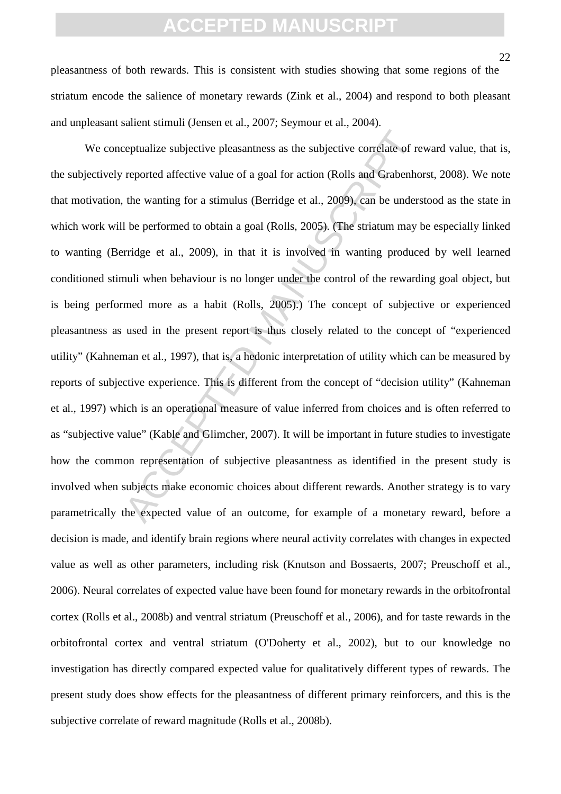pleasantness of both rewards. This is consistent with studies showing that some regions of the striatum encode the salience of monetary rewards (Zink et al., 2004) and respond to both pleasant and unpleasant salient stimuli (Jensen et al., 2007; Seymour et al., 2004).

reptualize subjective pleasantness as the subjective correlate of reported affective value of a goal for action (Rolls and Grabenhof the wanting for a stimulus (Berridge et al., 2009), can be undersuble be performed to obt We conceptualize subjective pleasantness as the subjective correlate of reward value, that is, the subjectively reported affective value of a goal for action (Rolls and Grabenhorst, 2008). We note that motivation, the wanting for a stimulus (Berridge et al., 2009), can be understood as the state in which work will be performed to obtain a goal (Rolls, 2005). (The striatum may be especially linked to wanting (Berridge et al., 2009), in that it is involved in wanting produced by well learned conditioned stimuli when behaviour is no longer under the control of the rewarding goal object, but is being performed more as a habit (Rolls, 2005).) The concept of subjective or experienced pleasantness as used in the present report is thus closely related to the concept of "experienced utility" (Kahneman et al., 1997), that is, a hedonic interpretation of utility which can be measured by reports of subjective experience. This is different from the concept of "decision utility" (Kahneman et al., 1997) which is an operational measure of value inferred from choices and is often referred to as "subjective value" (Kable and Glimcher, 2007). It will be important in future studies to investigate how the common representation of subjective pleasantness as identified in the present study is involved when subjects make economic choices about different rewards. Another strategy is to vary parametrically the expected value of an outcome, for example of a monetary reward, before a decision is made, and identify brain regions where neural activity correlates with changes in expected value as well as other parameters, including risk (Knutson and Bossaerts, 2007; Preuschoff et al., 2006). Neural correlates of expected value have been found for monetary rewards in the orbitofrontal cortex (Rolls et al., 2008b) and ventral striatum (Preuschoff et al., 2006), and for taste rewards in the orbitofrontal cortex and ventral striatum (O'Doherty et al., 2002), but to our knowledge no investigation has directly compared expected value for qualitatively different types of rewards. The present study does show effects for the pleasantness of different primary reinforcers, and this is the subjective correlate of reward magnitude (Rolls et al., 2008b).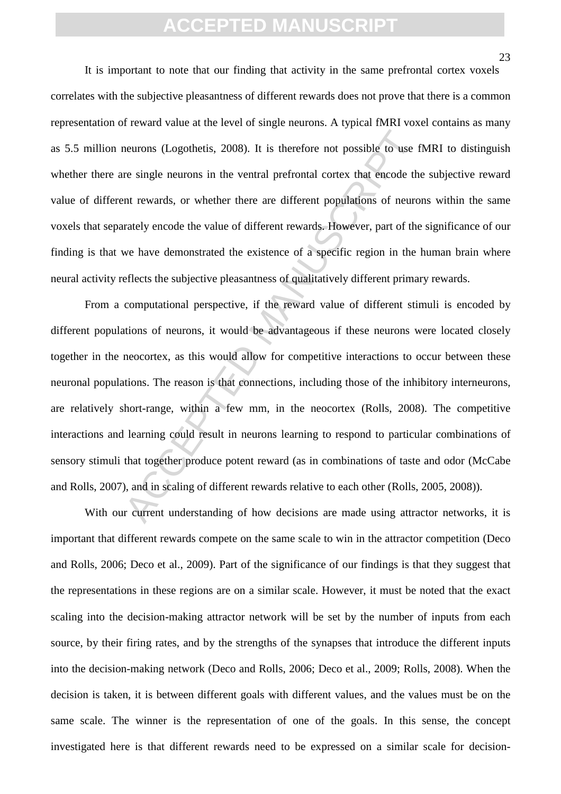It is important to note that our finding that activity in the same prefrontal cortex voxels correlates with the subjective pleasantness of different rewards does not prove that there is a common representation of reward value at the level of single neurons. A typical fMRI voxel contains as many as 5.5 million neurons (Logothetis, 2008). It is therefore not possible to use fMRI to distinguish whether there are single neurons in the ventral prefrontal cortex that encode the subjective reward value of different rewards, or whether there are different populations of neurons within the same voxels that separately encode the value of different rewards. However, part of the significance of our finding is that we have demonstrated the existence of a specific region in the human brain where neural activity reflects the subjective pleasantness of qualitatively different primary rewards.

neurons (Logothetis, 2008). It is therefore not possible to use f<br>re single neurons in the ventral prefrontal cortex that encode the<br>nt rewards, or whether there are different populations of neuro<br>rately encode the value o From a computational perspective, if the reward value of different stimuli is encoded by different populations of neurons, it would be advantageous if these neurons were located closely together in the neocortex, as this would allow for competitive interactions to occur between these neuronal populations. The reason is that connections, including those of the inhibitory interneurons, are relatively short-range, within a few mm, in the neocortex (Rolls, 2008). The competitive interactions and learning could result in neurons learning to respond to particular combinations of sensory stimuli that together produce potent reward (as in combinations of taste and odor (McCabe and Rolls, 2007), and in scaling of different rewards relative to each other (Rolls, 2005, 2008)).

With our current understanding of how decisions are made using attractor networks, it is important that different rewards compete on the same scale to win in the attractor competition (Deco and Rolls, 2006; Deco et al., 2009). Part of the significance of our findings is that they suggest that the representations in these regions are on a similar scale. However, it must be noted that the exact scaling into the decision-making attractor network will be set by the number of inputs from each source, by their firing rates, and by the strengths of the synapses that introduce the different inputs into the decision-making network (Deco and Rolls, 2006; Deco et al., 2009; Rolls, 2008). When the decision is taken, it is between different goals with different values, and the values must be on the same scale. The winner is the representation of one of the goals. In this sense, the concept investigated here is that different rewards need to be expressed on a similar scale for decision-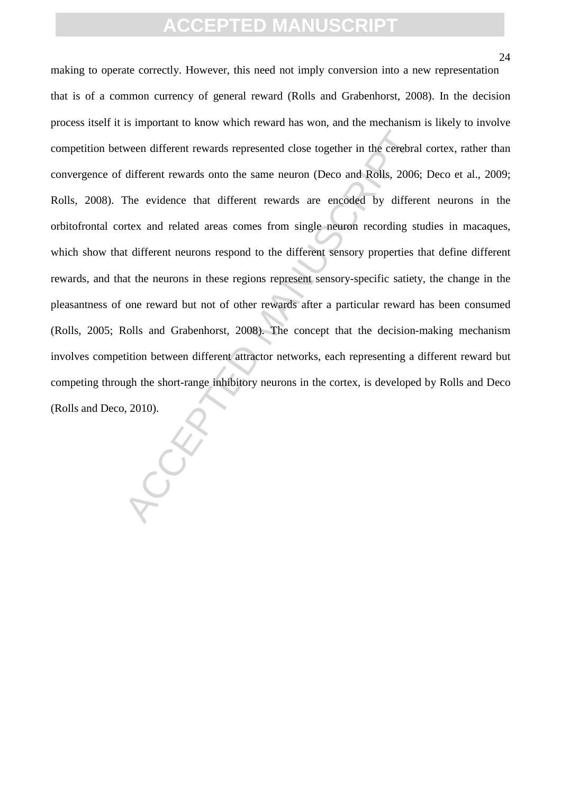ween different rewards represented close together in the cerebral<br>different rewards onto the same neuron (Deco and Rolls, 2006;<br>The evidence that different rewards are encoded by different<br>retx and related areas comes from making to operate correctly. However, this need not imply conversion into a new representation that is of a common currency of general reward (Rolls and Grabenhorst, 2008). In the decision process itself it is important to know which reward has won, and the mechanism is likely to involve competition between different rewards represented close together in the cerebral cortex, rather than convergence of different rewards onto the same neuron (Deco and Rolls, 2006; Deco et al., 2009; Rolls, 2008). The evidence that different rewards are encoded by different neurons in the orbitofrontal cortex and related areas comes from single neuron recording studies in macaques, which show that different neurons respond to the different sensory properties that define different rewards, and that the neurons in these regions represent sensory-specific satiety, the change in the pleasantness of one reward but not of other rewards after a particular reward has been consumed (Rolls, 2005; Rolls and Grabenhorst, 2008). The concept that the decision-making mechanism involves competition between different attractor networks, each representing a different reward but competing through the short-range inhibitory neurons in the cortex, is developed by Rolls and Deco (Rolls and Deco, 2010).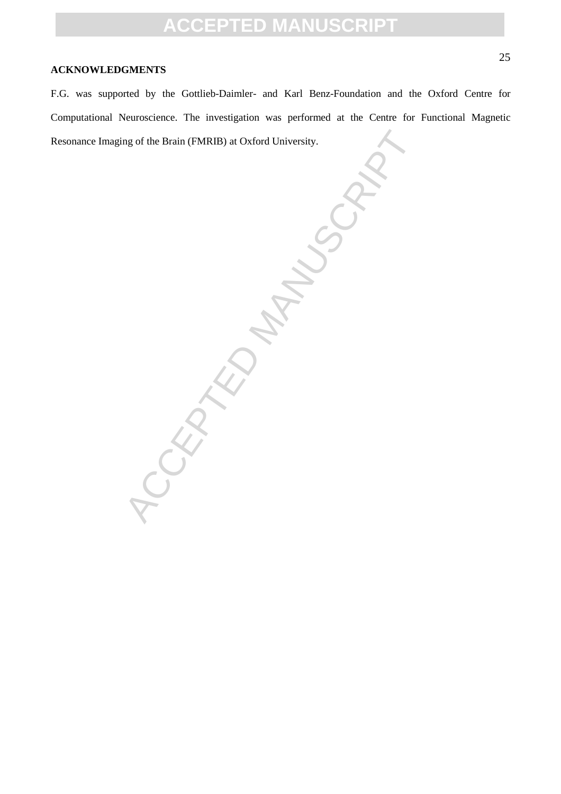#### **ACKNOWLEDGMENTS**

F.G. was supported by the Gottlieb-Daimler- and Karl Benz-Foundation and the Oxford Centre for Computational Neuroscience. The investigation was performed at the Centre for Functional Magnetic Resonance Imaging of the Brain (FMRIB) at Oxford University.

-EDMANUSCRIPT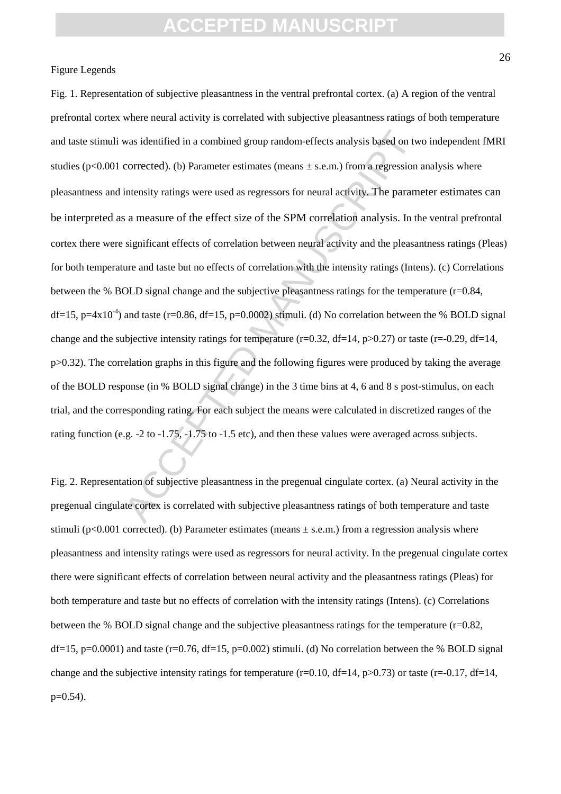#### Figure Legends

was identified in a combined group random-effects analysis based on two<br>corrected). (b) Parameter estimates (means  $\pm$  s.e.m.) from a regression<br>intensity ratings were used as regressors for neural activity. The params<br>a Fig. 1. Representation of subjective pleasantness in the ventral prefrontal cortex. (a) A region of the ventral prefrontal cortex where neural activity is correlated with subjective pleasantness ratings of both temperature and taste stimuli was identified in a combined group random-effects analysis based on two independent fMRI studies ( $p<0.001$  corrected). (b) Parameter estimates (means  $\pm$  s.e.m.) from a regression analysis where pleasantness and intensity ratings were used as regressors for neural activity. The parameter estimates can be interpreted as a measure of the effect size of the SPM correlation analysis. In the ventral prefrontal cortex there were significant effects of correlation between neural activity and the pleasantness ratings (Pleas) for both temperature and taste but no effects of correlation with the intensity ratings (Intens). (c) Correlations between the % BOLD signal change and the subjective pleasantness ratings for the temperature (r=0.84, df=15, p=4x10<sup>-4</sup>) and taste (r=0.86, df=15, p=0.0002) stimuli. (d) No correlation between the % BOLD signal change and the subjective intensity ratings for temperature (r=0.32, df=14,  $p>0.27$ ) or taste (r=-0.29, df=14, p>0.32). The correlation graphs in this figure and the following figures were produced by taking the average of the BOLD response (in % BOLD signal change) in the 3 time bins at 4, 6 and 8 s post-stimulus, on each trial, and the corresponding rating. For each subject the means were calculated in discretized ranges of the rating function (e.g. -2 to -1.75, -1.75 to -1.5 etc), and then these values were averaged across subjects.

Fig. 2. Representation of subjective pleasantness in the pregenual cingulate cortex. (a) Neural activity in the pregenual cingulate cortex is correlated with subjective pleasantness ratings of both temperature and taste stimuli ( $p<0.001$  corrected). (b) Parameter estimates (means  $\pm$  s.e.m.) from a regression analysis where pleasantness and intensity ratings were used as regressors for neural activity. In the pregenual cingulate cortex there were significant effects of correlation between neural activity and the pleasantness ratings (Pleas) for both temperature and taste but no effects of correlation with the intensity ratings (Intens). (c) Correlations between the % BOLD signal change and the subjective pleasantness ratings for the temperature  $(r=0.82,$ df=15, p=0.0001) and taste (r=0.76, df=15, p=0.002) stimuli. (d) No correlation between the % BOLD signal change and the subjective intensity ratings for temperature (r=0.10, df=14,  $p>0.73$ ) or taste (r=-0.17, df=14,  $p=0.54$ ).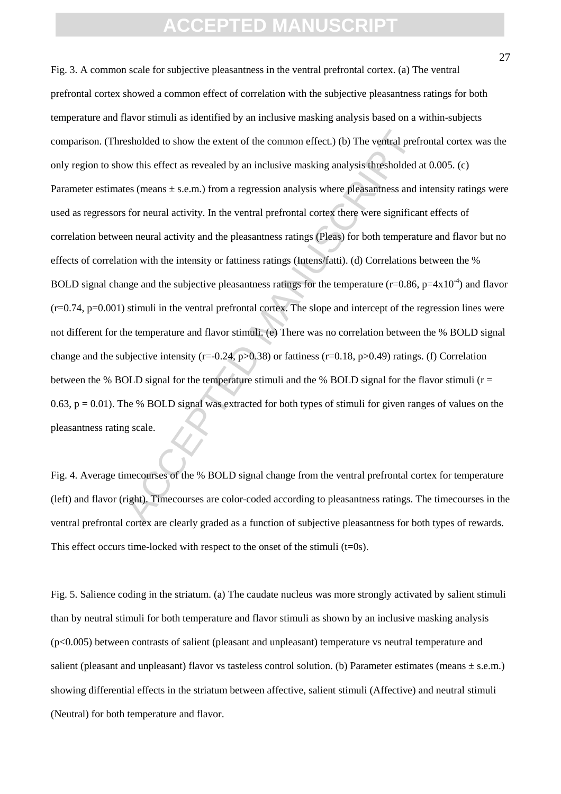esholded to show the extent of the common effect.) (b) The ventral pref<br>ow this effect as revealed by an inclusive masking analysis thresholded a<br>tes (means ± s.e.m.) from a regression analysis where pleasantness and is<br>fo Fig. 3. A common scale for subjective pleasantness in the ventral prefrontal cortex. (a) The ventral prefrontal cortex showed a common effect of correlation with the subjective pleasantness ratings for both temperature and flavor stimuli as identified by an inclusive masking analysis based on a within-subjects comparison. (Thresholded to show the extent of the common effect.) (b) The ventral prefrontal cortex was the only region to show this effect as revealed by an inclusive masking analysis thresholded at 0.005. (c) Parameter estimates (means  $\pm$  s.e.m.) from a regression analysis where pleasantness and intensity ratings were used as regressors for neural activity. In the ventral prefrontal cortex there were significant effects of correlation between neural activity and the pleasantness ratings (Pleas) for both temperature and flavor but no effects of correlation with the intensity or fattiness ratings (Intens/fatti). (d) Correlations between the % BOLD signal change and the subjective pleasantness ratings for the temperature (r=0.86, p=4x10<sup>-4</sup>) and flavor  $(r=0.74, p=0.001)$  stimuli in the ventral prefrontal cortex. The slope and intercept of the regression lines were not different for the temperature and flavor stimuli. (e) There was no correlation between the % BOLD signal change and the subjective intensity (r=-0.24, p>0.38) or fattiness (r=0.18, p>0.49) ratings. (f) Correlation between the % BOLD signal for the temperature stimuli and the % BOLD signal for the flavor stimuli ( $r =$ 0.63,  $p = 0.01$ ). The % BOLD signal was extracted for both types of stimuli for given ranges of values on the pleasantness rating scale.

Fig. 4. Average timecourses of the % BOLD signal change from the ventral prefrontal cortex for temperature (left) and flavor (right). Timecourses are color-coded according to pleasantness ratings. The timecourses in the ventral prefrontal cortex are clearly graded as a function of subjective pleasantness for both types of rewards. This effect occurs time-locked with respect to the onset of the stimuli  $(t=0s)$ .

Fig. 5. Salience coding in the striatum. (a) The caudate nucleus was more strongly activated by salient stimuli than by neutral stimuli for both temperature and flavor stimuli as shown by an inclusive masking analysis (p<0.005) between contrasts of salient (pleasant and unpleasant) temperature vs neutral temperature and salient (pleasant and unpleasant) flavor vs tasteless control solution. (b) Parameter estimates (means  $\pm$  s.e.m.) showing differential effects in the striatum between affective, salient stimuli (Affective) and neutral stimuli (Neutral) for both temperature and flavor.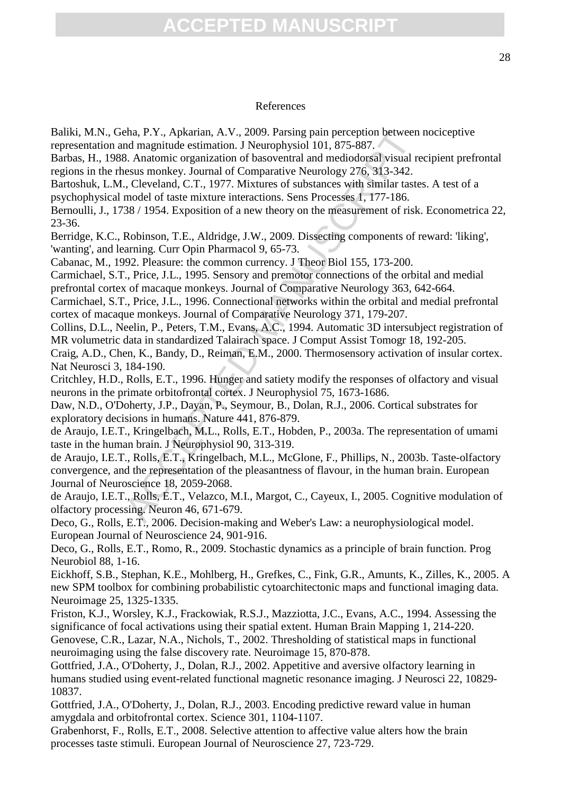#### References

Baliki, M.N., Geha, P.Y., Apkarian, A.V., 2009. Parsing pain perception between nociceptive representation and magnitude estimation. J Neurophysiol 101, 875-887.

Barbas, H., 1988. Anatomic organization of basoventral and mediodorsal visual recipient prefrontal regions in the rhesus monkey. Journal of Comparative Neurology 276, 313-342.

Bartoshuk, L.M., Cleveland, C.T., 1977. Mixtures of substances with similar tastes. A test of a psychophysical model of taste mixture interactions. Sens Processes 1, 177-186.

Bernoulli, J., 1738 / 1954. Exposition of a new theory on the measurement of risk. Econometrica 22, 23-36.

Berridge, K.C., Robinson, T.E., Aldridge, J.W., 2009. Dissecting components of reward: 'liking', 'wanting', and learning. Curr Opin Pharmacol 9, 65-73.

Cabanac, M., 1992. Pleasure: the common currency. J Theor Biol 155, 173-200.

Carmichael, S.T., Price, J.L., 1995. Sensory and premotor connections of the orbital and medial prefrontal cortex of macaque monkeys. Journal of Comparative Neurology 363, 642-664.

Carmichael, S.T., Price, J.L., 1996. Connectional networks within the orbital and medial prefrontal cortex of macaque monkeys. Journal of Comparative Neurology 371, 179-207.

Collins, D.L., Neelin, P., Peters, T.M., Evans, A.C., 1994. Automatic 3D intersubject registration of MR volumetric data in standardized Talairach space. J Comput Assist Tomogr 18, 192-205.

Craig, A.D., Chen, K., Bandy, D., Reiman, E.M., 2000. Thermosensory activation of insular cortex. Nat Neurosci 3, 184-190.

Critchley, H.D., Rolls, E.T., 1996. Hunger and satiety modify the responses of olfactory and visual neurons in the primate orbitofrontal cortex. J Neurophysiol 75, 1673-1686.

Daw, N.D., O'Doherty, J.P., Dayan, P., Seymour, B., Dolan, R.J., 2006. Cortical substrates for exploratory decisions in humans. Nature 441, 876-879.

de Araujo, I.E.T., Kringelbach, M.L., Rolls, E.T., Hobden, P., 2003a. The representation of umami taste in the human brain. J Neurophysiol 90, 313-319.

Pha, P.Y., Apkarian, A.V., 2009. Parsing pain perception between<br>
and magnitude estimation. J Neurophysiol 101, 875-887.<br>
8. Anatomic organization of basoventral and mediodorsal visual resus monkey. Journal of Comparative de Araujo, I.E.T., Rolls, E.T., Kringelbach, M.L., McGlone, F., Phillips, N., 2003b. Taste-olfactory convergence, and the representation of the pleasantness of flavour, in the human brain. European Journal of Neuroscience 18, 2059-2068.

de Araujo, I.E.T., Rolls, E.T., Velazco, M.I., Margot, C., Cayeux, I., 2005. Cognitive modulation of olfactory processing. Neuron 46, 671-679.

Deco, G., Rolls, E.T., 2006. Decision-making and Weber's Law: a neurophysiological model. European Journal of Neuroscience 24, 901-916.

Deco, G., Rolls, E.T., Romo, R., 2009. Stochastic dynamics as a principle of brain function. Prog Neurobiol 88, 1-16.

Eickhoff, S.B., Stephan, K.E., Mohlberg, H., Grefkes, C., Fink, G.R., Amunts, K., Zilles, K., 2005. A new SPM toolbox for combining probabilistic cytoarchitectonic maps and functional imaging data. Neuroimage 25, 1325-1335.

Friston, K.J., Worsley, K.J., Frackowiak, R.S.J., Mazziotta, J.C., Evans, A.C., 1994. Assessing the significance of focal activations using their spatial extent. Human Brain Mapping 1, 214-220. Genovese, C.R., Lazar, N.A., Nichols, T., 2002. Thresholding of statistical maps in functional neuroimaging using the false discovery rate. Neuroimage 15, 870-878.

Gottfried, J.A., O'Doherty, J., Dolan, R.J., 2002. Appetitive and aversive olfactory learning in humans studied using event-related functional magnetic resonance imaging. J Neurosci 22, 10829- 10837.

Gottfried, J.A., O'Doherty, J., Dolan, R.J., 2003. Encoding predictive reward value in human amygdala and orbitofrontal cortex. Science 301, 1104-1107.

Grabenhorst, F., Rolls, E.T., 2008. Selective attention to affective value alters how the brain processes taste stimuli. European Journal of Neuroscience 27, 723-729.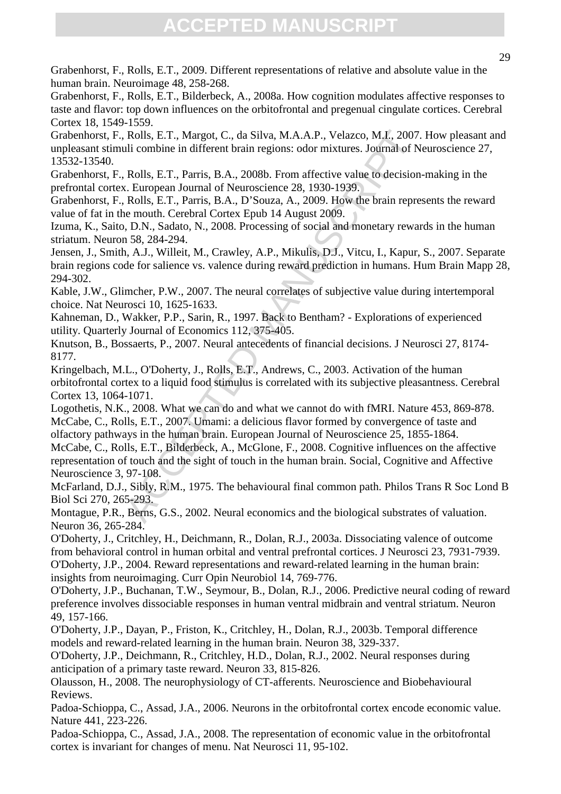Grabenhorst, F., Rolls, E.T., 2009. Different representations of relative and absolute value in the human brain. Neuroimage 48, 258-268.

Grabenhorst, F., Rolls, E.T., Bilderbeck, A., 2008a. How cognition modulates affective responses to taste and flavor: top down influences on the orbitofrontal and pregenual cingulate cortices. Cerebral Cortex 18, 1549-1559.

Grabenhorst, F., Rolls, E.T., Margot, C., da Silva, M.A.A.P., Velazco, M.I., 2007. How pleasant and unpleasant stimuli combine in different brain regions: odor mixtures. Journal of Neuroscience 27, 13532-13540.

Grabenhorst, F., Rolls, E.T., Parris, B.A., 2008b. From affective value to decision-making in the prefrontal cortex. European Journal of Neuroscience 28, 1930-1939.

Grabenhorst, F., Rolls, E.T., Parris, B.A., D'Souza, A., 2009. How the brain represents the reward value of fat in the mouth. Cerebral Cortex Epub 14 August 2009.

Izuma, K., Saito, D.N., Sadato, N., 2008. Processing of social and monetary rewards in the human striatum. Neuron 58, 284-294.

Jensen, J., Smith, A.J., Willeit, M., Crawley, A.P., Mikulis, D.J., Vitcu, I., Kapur, S., 2007. Separate brain regions code for salience vs. valence during reward prediction in humans. Hum Brain Mapp 28, 294-302.

Kable, J.W., Glimcher, P.W., 2007. The neural correlates of subjective value during intertemporal choice. Nat Neurosci 10, 1625-1633.

Kahneman, D., Wakker, P.P., Sarin, R., 1997. Back to Bentham? - Explorations of experienced utility. Quarterly Journal of Economics 112, 375-405.

Knutson, B., Bossaerts, P., 2007. Neural antecedents of financial decisions. J Neurosci 27, 8174- 8177.

Kringelbach, M.L., O'Doherty, J., Rolls, E.T., Andrews, C., 2003. Activation of the human orbitofrontal cortex to a liquid food stimulus is correlated with its subjective pleasantness. Cerebral Cortex 13, 1064-1071.

Rolls, E.T., Margot, C., da Silva, M.A.A.P., Velazco, M.L. 2007.<br>
uli combine in different brain regions: odor mixtures. Jonrnal of N<br>
Rolls, E.T., Parris, B.A., 2008b. From affective value to decision<br>
c. European Journal Logothetis, N.K., 2008. What we can do and what we cannot do with fMRI. Nature 453, 869-878. McCabe, C., Rolls, E.T., 2007. Umami: a delicious flavor formed by convergence of taste and olfactory pathways in the human brain. European Journal of Neuroscience 25, 1855-1864.

McCabe, C., Rolls, E.T., Bilderbeck, A., McGlone, F., 2008. Cognitive influences on the affective representation of touch and the sight of touch in the human brain. Social, Cognitive and Affective Neuroscience 3, 97-108.

McFarland, D.J., Sibly, R.M., 1975. The behavioural final common path. Philos Trans R Soc Lond B Biol Sci 270, 265-293.

Montague, P.R., Berns, G.S., 2002. Neural economics and the biological substrates of valuation. Neuron 36, 265-284.

O'Doherty, J., Critchley, H., Deichmann, R., Dolan, R.J., 2003a. Dissociating valence of outcome from behavioral control in human orbital and ventral prefrontal cortices. J Neurosci 23, 7931-7939. O'Doherty, J.P., 2004. Reward representations and reward-related learning in the human brain: insights from neuroimaging. Curr Opin Neurobiol 14, 769-776.

O'Doherty, J.P., Buchanan, T.W., Seymour, B., Dolan, R.J., 2006. Predictive neural coding of reward preference involves dissociable responses in human ventral midbrain and ventral striatum. Neuron 49, 157-166.

O'Doherty, J.P., Dayan, P., Friston, K., Critchley, H., Dolan, R.J., 2003b. Temporal difference models and reward-related learning in the human brain. Neuron 38, 329-337.

O'Doherty, J.P., Deichmann, R., Critchley, H.D., Dolan, R.J., 2002. Neural responses during anticipation of a primary taste reward. Neuron 33, 815-826.

Olausson, H., 2008. The neurophysiology of CT-afferents. Neuroscience and Biobehavioural Reviews.

Padoa-Schioppa, C., Assad, J.A., 2006. Neurons in the orbitofrontal cortex encode economic value. Nature 441, 223-226.

Padoa-Schioppa, C., Assad, J.A., 2008. The representation of economic value in the orbitofrontal cortex is invariant for changes of menu. Nat Neurosci 11, 95-102.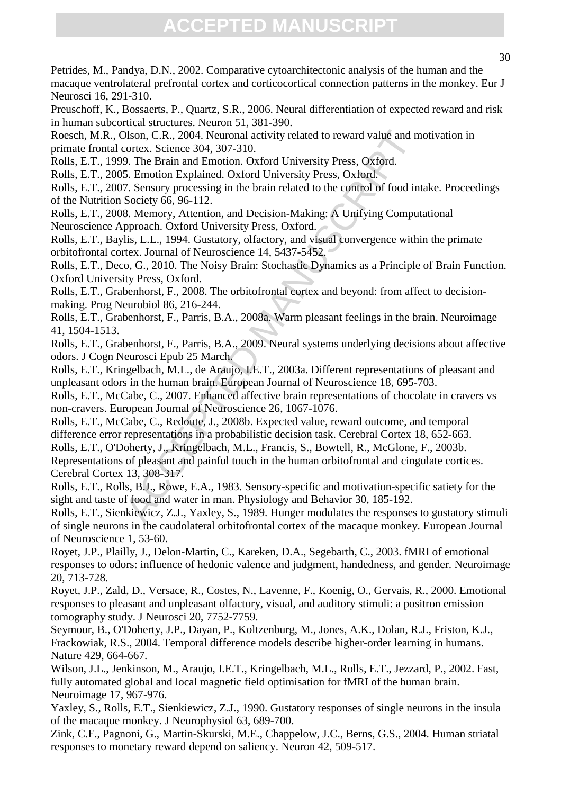Petrides, M., Pandya, D.N., 2002. Comparative cytoarchitectonic analysis of the human and the macaque ventrolateral prefrontal cortex and corticocortical connection patterns in the monkey. Eur J Neurosci 16, 291-310.

Preuschoff, K., Bossaerts, P., Quartz, S.R., 2006. Neural differentiation of expected reward and risk in human subcortical structures. Neuron 51, 381-390.

Roesch, M.R., Olson, C.R., 2004. Neuronal activity related to reward value and motivation in primate frontal cortex. Science 304, 307-310.

Rolls, E.T., 1999. The Brain and Emotion. Oxford University Press, Oxford.

Rolls, E.T., 2005. Emotion Explained. Oxford University Press, Oxford.

Rolls, E.T., 2007. Sensory processing in the brain related to the control of food intake. Proceedings of the Nutrition Society 66, 96-112.

Rolls, E.T., 2008. Memory, Attention, and Decision-Making: A Unifying Computational Neuroscience Approach. Oxford University Press, Oxford.

Rolls, E.T., Baylis, L.L., 1994. Gustatory, olfactory, and visual convergence within the primate orbitofrontal cortex. Journal of Neuroscience 14, 5437-5452.

Rolls, E.T., Deco, G., 2010. The Noisy Brain: Stochastic Dynamics as a Principle of Brain Function. Oxford University Press, Oxford.

Rolls, E.T., Grabenhorst, F., 2008. The orbitofrontal cortex and beyond: from affect to decisionmaking. Prog Neurobiol 86, 216-244.

Rolls, E.T., Grabenhorst, F., Parris, B.A., 2008a. Warm pleasant feelings in the brain. Neuroimage 41, 1504-1513.

Rolls, E.T., Grabenhorst, F., Parris, B.A., 2009. Neural systems underlying decisions about affective odors. J Cogn Neurosci Epub 25 March.

Rolls, E.T., Kringelbach, M.L., de Araujo, I.E.T., 2003a. Different representations of pleasant and unpleasant odors in the human brain. European Journal of Neuroscience 18, 695-703.

Rolls, E.T., McCabe, C., 2007. Enhanced affective brain representations of chocolate in cravers vs non-cravers. European Journal of Neuroscience 26, 1067-1076.

Dlson, C.R., 2004. Neuronal activity related to reward value and m<br>cortex. Science 304, 307-310.<br>9. The Brain and Emotion. Oxford University Press, Oxford.<br>5. Emotion Explained. Oxford University Press, Oxford.<br>5. Emotion Rolls, E.T., McCabe, C., Redoute, J., 2008b. Expected value, reward outcome, and temporal difference error representations in a probabilistic decision task. Cerebral Cortex 18, 652-663. Rolls, E.T., O'Doherty, J., Kringelbach, M.L., Francis, S., Bowtell, R., McGlone, F., 2003b.

Representations of pleasant and painful touch in the human orbitofrontal and cingulate cortices. Cerebral Cortex 13, 308-317.

Rolls, E.T., Rolls, B.J., Rowe, E.A., 1983. Sensory-specific and motivation-specific satiety for the sight and taste of food and water in man. Physiology and Behavior 30, 185-192.

Rolls, E.T., Sienkiewicz, Z.J., Yaxley, S., 1989. Hunger modulates the responses to gustatory stimuli of single neurons in the caudolateral orbitofrontal cortex of the macaque monkey. European Journal of Neuroscience 1, 53-60.

Royet, J.P., Plailly, J., Delon-Martin, C., Kareken, D.A., Segebarth, C., 2003. fMRI of emotional responses to odors: influence of hedonic valence and judgment, handedness, and gender. Neuroimage 20, 713-728.

Royet, J.P., Zald, D., Versace, R., Costes, N., Lavenne, F., Koenig, O., Gervais, R., 2000. Emotional responses to pleasant and unpleasant olfactory, visual, and auditory stimuli: a positron emission tomography study. J Neurosci 20, 7752-7759.

Seymour, B., O'Doherty, J.P., Dayan, P., Koltzenburg, M., Jones, A.K., Dolan, R.J., Friston, K.J., Frackowiak, R.S., 2004. Temporal difference models describe higher-order learning in humans. Nature 429, 664-667.

Wilson, J.L., Jenkinson, M., Araujo, I.E.T., Kringelbach, M.L., Rolls, E.T., Jezzard, P., 2002. Fast, fully automated global and local magnetic field optimisation for fMRI of the human brain. Neuroimage 17, 967-976.

Yaxley, S., Rolls, E.T., Sienkiewicz, Z.J., 1990. Gustatory responses of single neurons in the insula of the macaque monkey. J Neurophysiol 63, 689-700.

Zink, C.F., Pagnoni, G., Martin-Skurski, M.E., Chappelow, J.C., Berns, G.S., 2004. Human striatal responses to monetary reward depend on saliency. Neuron 42, 509-517.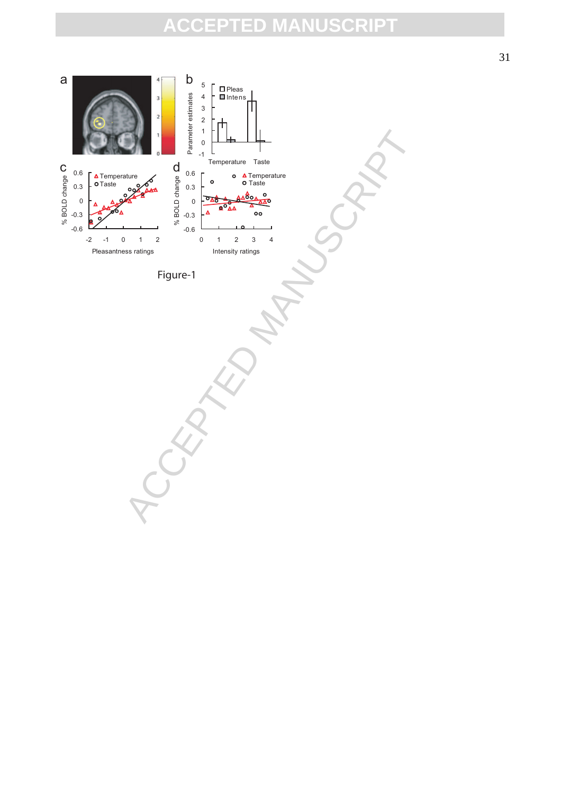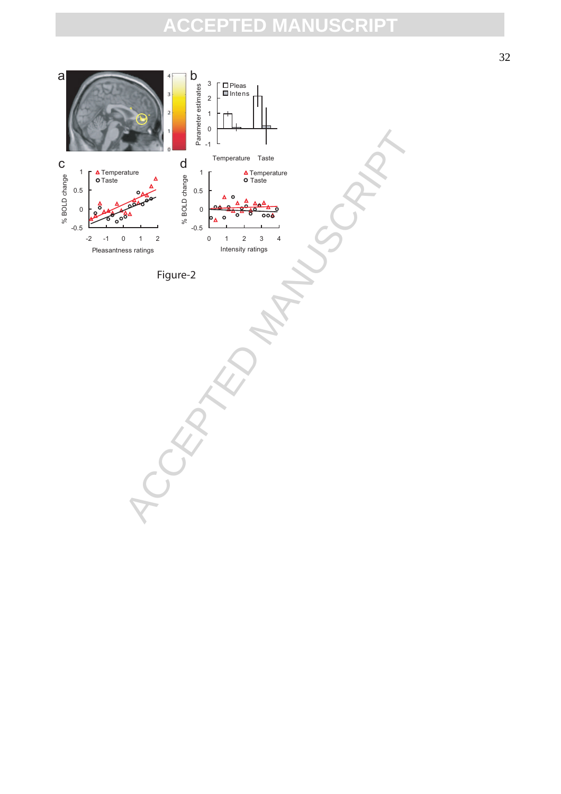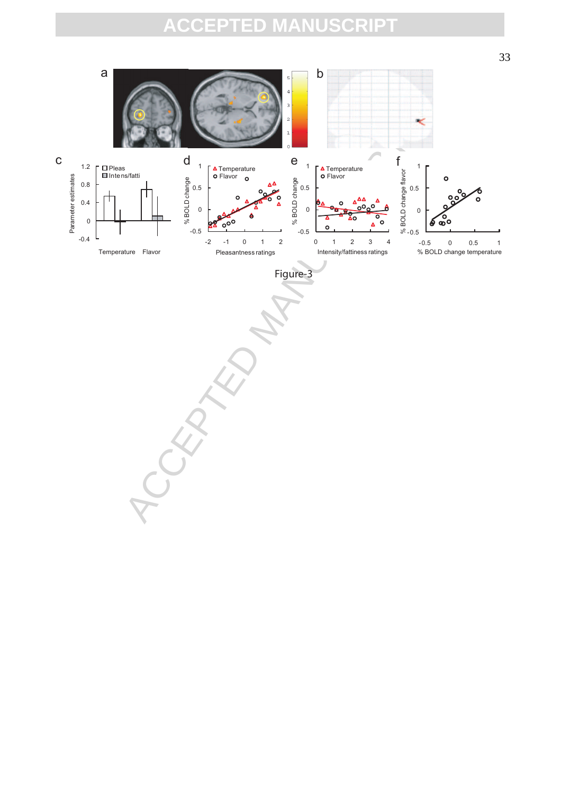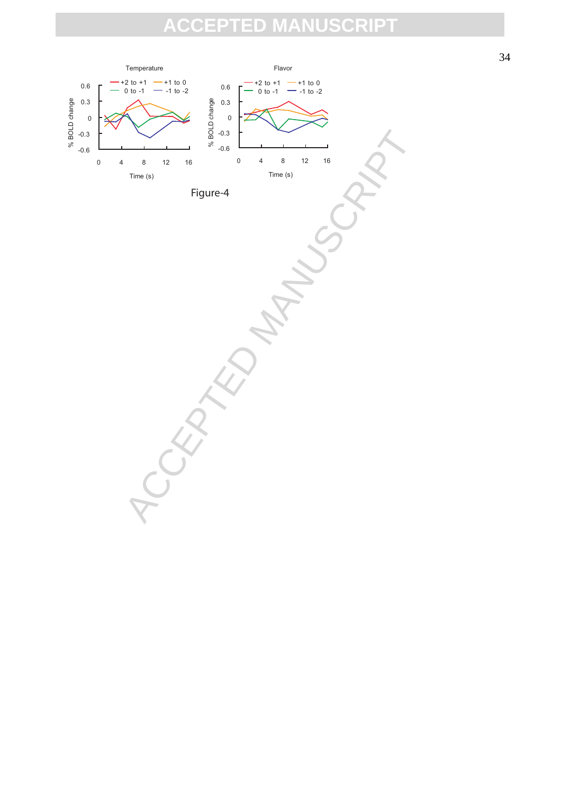